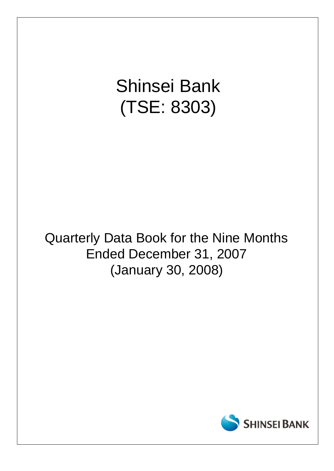# Shinsei Bank (TSE: 8303)

## Quarterly Data Book for the Nine Months Ended December 31, 2007 (January 30, 2008)

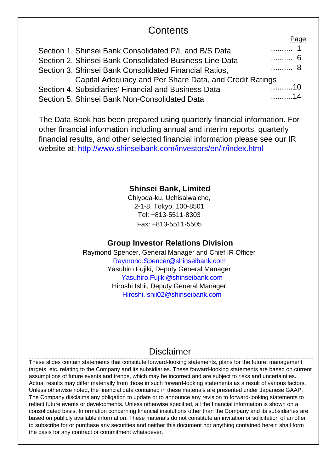## **Contents**

|                                                         | г ачс           |
|---------------------------------------------------------|-----------------|
| Section 1. Shinsei Bank Consolidated P/L and B/S Data   | . 1             |
| Section 2. Shinsei Bank Consolidated Business Line Data | . 6             |
| Section 3. Shinsei Bank Consolidated Financial Ratios,  | . 8             |
| Capital Adequacy and Per Share Data, and Credit Ratings |                 |
| Section 4. Subsidiaries' Financial and Business Data    | <sup>-</sup> 10 |
| Section 5. Shinsei Bank Non-Consolidated Data           | . 14            |

The Data Book has been prepared using quarterly financial information. For other financial information including annual and interim reports, quarterly financial results, and other selected financial information please see our IR website at: http://www.shinseibank.com/investors/en/ir/index.html

#### **Shinsei Bank, Limited**

Chiyoda-ku, Uchisaiwaicho, 2-1-8, Tokyo, 100-8501 Tel: +813-5511-8303 Fax: +813-5511-5505

#### **Group Investor Relations Division**

Raymond Spencer, General Manager and Chief IR Officer Raymond.Spencer@shinseibank.com Yasuhiro Fujiki, Deputy General Manager Yasuhiro.Fujiki@shinseibank.com Hiroshi Ishii, Deputy General Manager Hiroshi.Ishii02@shinseibank.com

### Disclaimer

These slides contain statements that constitute forward-looking statements, plans for the future, management targets, etc. relating to the Company and its subsidiaries. These forward-looking statements are based on current assumptions of future events and trends, which may be incorrect and are subject to risks and uncertainties. Actual results may differ materially from those in such forward-looking statements as a result of various factors. Unless otherwise noted, the financial data contained in these materials are presented under Japanese GAAP. The Company disclaims any obligation to update or to announce any revision to forward-looking statements to reflect future events or developments. Unless otherwise specified, all the financial information is shown on a consolidated basis. Information concerning financial institutions other than the Company and its subsidiaries are based on publicly available information. These materials do not constitute an invitation or solicitation of an offer to subscribe for or purchase any securities and neither this document nor anything contained herein shall form the basis for any contract or commitment whatsoever.

Page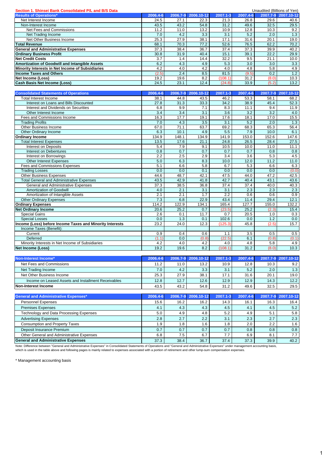| Section 1. Shinsei Bank Consolidated P/L and B/S Data |          |          |            |          |          | Unaudited (Billions of Yen) |                     |
|-------------------------------------------------------|----------|----------|------------|----------|----------|-----------------------------|---------------------|
| <b>Results of Operations*</b>                         | 2006.4-6 | 2006.7-9 | 2006.10-12 | 2007.1-3 | 2007.4-6 |                             | 2007.7-9 2007.10-12 |
| Net Interest Income                                   | 24.5     | 27.1     | 22.3       | 21.3     | 26.8     | 29.6                        | 40.6                |
| Non-Interest Income                                   | 43.5     | 43.2     | 54.8       | 31.2     | 49.6     | 32.5                        | 29.5                |
| Net Fees and Commissions                              | 11.2     | 11.0     | 13.2       | 10.9     | 12.8     | 10.3                        | 9.2                 |
| Net Trading Income                                    | 7.0      | 4.2      | 3.3        | 3.1      | 5.2      | 2.0                         | 1.3                 |
| Net Other Business Income                             | 25.3     | 27.9     | 38.1       | 17.1     | 31.6     | 20.1                        | 19.0                |
| <b>Total Revenue</b>                                  | 68.1     | 70.3     | 77.2       | 52.6     | 76.5     | 62.2                        | 70.2                |
| <b>General and Administrative Expenses</b>            | 37.3     | 38.4     | 36.7       | 37.4     | 37.3     | 39.9                        | 40.2                |
| <b>Ordinary Business Profit</b>                       | 30.8     | 31.9     | 40.4       | 15.1     | 39.1     | 22.2                        | 29.9                |
| <b>Net Credit Costs</b>                               | 3.7      | 1.4      | 14.4       | 32.2     | 9.5      | 21.1                        | 10.0                |
| Amortization of Goodwill and Intangible Assets        | 6.2      | 4.3      | 4.9        | 5.3      | 3.0      | 3.0                         | 3.3                 |
| Minority Interests in Net Income of Subsidiaries      | 4.2      | 4.0      | 4.2        | 4.0      | 4.8      | 5.8                         | 4.9                 |
| <b>Income Taxes and Others</b>                        | (2.5)    | 2.4      | 8.5        | 81.5     | (9.5)    | 0.2                         | 1.2                 |
| Net Income (Loss)                                     | 19.2     | 19.6     | 8.2        | (108.1)  | 31.2     | (8.0)                       | 10.3                |
| <b>Cash Basis Net Income (Loss)</b>                   | 24.5     | 23.1     | 12.4       | (24.8)   | 33.9     | (5.2)                       | 13.2                |

| <b>Consolidated Statements of Operations</b>             | 2006.4-6 | 2006.7-9 | 2006.10-12 | 2007.1-3 | 2007.4-6 | 2007.7-9         | 2007.10-12 |
|----------------------------------------------------------|----------|----------|------------|----------|----------|------------------|------------|
| <b>Total Interest Income</b>                             | 38.1     | 44.8     | 43.5       | 46.2     | 53.3     | 58.1             | 68.2       |
| Interest on Loans and Bills Discounted                   | 27.8     | 31.3     | 33.3       | 34.2     | 38.9     | 45.4             | 52.3       |
| Interest and Dividends on Securities                     | 6.8      | 9.9      | 7.1        | 8.3      | 11.1     | 9.4              | 11.9       |
| Other Interest Income                                    | 3.4      | 3.4      | 3.1        | 3.6      | 3.2      | $\overline{3.2}$ | 4.0        |
| Fees and Commissions Income                              | 16.3     | 17.7     | 19.1       | 17.6     | 18.1     | 17.0             | 15.5       |
| <b>Trading Profits</b>                                   | 7.0      | 4.3      | 3.5        | 3.1      | 5.2      | 2.0              | 1.3        |
| Other Business Income                                    | 67.0     | 71.1     | 63.7       | 69.2     | 68.3     | 65.3             | 56.4       |
| Other Ordinary Income                                    | 6.3      | 10.1     | 4.9        | 5.5      | 7.9      | 10.0             | 6.1        |
| <b>Ordinary Income</b>                                   | 134.9    | 148.1    | 134.9      | 141.9    | 153.0    | 152.6            | 147.6      |
| <b>Total Interest Expenses</b>                           | 13.5     | 17.6     | 21.1       | 24.8     | 26.5     | 28.4             | 27.5       |
| Interest on Deposits                                     | 5.4      | 7.9      | 9.1        | 10.5     | 10.0     | 11.0             | 11.1       |
| Interest on Debentures                                   | 0.8      | 0.7      | 0.7        | 0.7      | 0.7      | 0.8              | 0.8        |
| Interest on Borrowings                                   | 2.2      | 2.5      | 2.9        | 3.4      | 3.6      | 5.3              | 4.5        |
| <b>Other Interest Expenses</b>                           | 5.0      | 6.3      | 8.3        | 10.0     | 12.0     | 11.2             | 11.0       |
| Fees and Commissions Expenses                            | 5.1      | 6.6      | 5.8        | 6.7      | 5.3      | 6.6              | 6.3        |
| <b>Trading Losses</b>                                    | 0.0      | 0.0      | 0.1        | 0.0      | 0.0      | 0.0              | (0.0)      |
| <b>Other Business Expenses</b>                           | 44.6     | 48.7     | 42.1       | 47.5     | 44.0     | 47.2             | 42.5       |
| <b>Total General and Administrative Expenses</b>         | 43.5     | 42.9     | 41.8       | 42.7     | 40.4     | 43.1             | 43.6       |
| General and Administrative Expenses                      | 37.3     | 38.5     | 36.8       | 37.4     | 37.4     | 40.0             | 40.3       |
| <b>Amortization of Goodwill</b>                          | 4.0      | 2.1      | 3.1        | 3.1      | 2.3      | 2.3              | 2.3        |
| Amortization of Intangible Assets                        | 2.1      | 2.1      | 1.7        | 2.2      | 0.6      | 0.6              | 0.9        |
| <b>Other Ordinary Expenses</b>                           | 7.3      | 6.8      | 22.9       | 43.4     | 11.4     | 29.4             | 12.1       |
| <b>Ordinary Expenses</b>                                 | 114.2    | 122.9    | 134.1      | 165.4    | 127.7    | 155.0            | 132.2      |
| <b>Net Ordinary Income</b>                               | 20.6     | 25.2     | 0.7        | (23.5)   | 25.2     | (2.3)            | 15.4       |
| <b>Special Gains</b>                                     | 2.6      | 0.1      | 11.7       | 0.7      | 20.5     | 1.0              | 0.3        |
| <b>Special Losses</b>                                    | 0.0      | 1.3      | 0.1        | 102.6    | 0.0      | 1.2              | 0.0        |
| Income (Loss) before Income Taxes and Minority Interests | 23.2     | 24.0     | 12.3       | (125.3)  | 45.8     | (2.5)            | 15.7       |
| Income Taxes (Benefit):                                  |          |          |            |          |          |                  |            |
| Current                                                  | 0.9      | 0.4      | 0.6        | 1.1      | 3.5      | 0.5              | 0.5        |
| Deferred                                                 | (1.1)    | 0.0      | (0.8)      | (22.5)   | 6.1      | (0.8)            | (0.1)      |
| Minority Interests in Net Income of Subsidiaries         | 4.2      | 4.0      | 4.2        | 4.0      | 4.8      | 5.8              | 4.9        |
| Net Income (Loss)                                        | 19.2     | 19.6     | 8.2        | (108.1)  | 31.2     | (8.0)            | 10.3       |

| Non-Interest Income*                                | 2006.4-6      |      | 2006.7-9 2006.10-12 | 2007.1-3 | 2007.4-6 |      | 2007.7-9 2007.10-12 |
|-----------------------------------------------------|---------------|------|---------------------|----------|----------|------|---------------------|
| Net Fees and Commissions                            | 11.2          | 11.0 | 13.2                | 10.9     | 12.8     | 10.3 | 9.2                 |
| Net Trading Income                                  | $7.0^{\circ}$ | 4.2  | 3.3                 | 3.1      | 5.2      | 2.0  | 1.3                 |
| Net Other Business Income                           | 25.3          | 27.9 | 38.1                | 17.1     | 31.6     | 20.7 | 19.0                |
| Income on Leased Assets and Installment Receivables | 12.8          | 12.7 | 12.6                | 12.9     | 12.9     | 14.3 | 12.2                |
| Non-Interest Income                                 | 43.5          | 43.2 | 54.8                | 31.2     | 49.6     | 32.5 | 29.5                |

| <b>General and Administrative Expenses*</b> | 2006.4-6 |                             | 2006.7-9 2006.10-12 | 2007.1-3 | 2007.4-6 |                             | 2007.7-9 2007.10-12 |
|---------------------------------------------|----------|-----------------------------|---------------------|----------|----------|-----------------------------|---------------------|
| <b>Personnel Expenses</b>                   | 15.6     | 16.2                        | 16.2                | 14.3     | 16.1     | 16.3                        | 16.4                |
| <b>Premises Expenses</b>                    | 4.1      | 4.3                         | 4.3                 | 4.5      | 4.1      | 4.5                         | 5.2                 |
| Technology and Data Processing Expenses     | 5.0      | 4.9                         | 4.8                 | 5.2      | 4.9      | 5.1                         | 5.8                 |
| <b>Advertising Expenses</b>                 | 2.8      | $\sim$ -<br>$\mathcal{L}$ . | 2.2                 | 3.1      | 2.3      | $\sim$ -<br>$\mathcal{L}$ . | 2.3                 |
| <b>Consumption and Property Taxes</b>       | 1.9      | 1.8                         | 1.6                 | 1.8      | 2.0      | 2.2                         | 1.6                 |
| Deposit Insurance Premium                   | 0.7      | 0.7                         | 0.7                 | 0.7      | 0.8      | 0.8                         | 0.8                 |
| Other General and Administrative Expenses   | 6.8      | 7.5                         | 6.7                 | 7.7      | 6.9      | 8.1                         | 7.7                 |
| <b>General and Administrative Expenses</b>  | 37.3     | 38.4                        | 36.7                | 37.4     | 37.3     | 39.9                        | 40.2                |

Note: Difference between "General and Administrative Expenses" in Consolidated Statements of Operations and "General and Administrative Expenses" under management accounting basis.<br>which is used in the table above and foll

\* Management accounting basis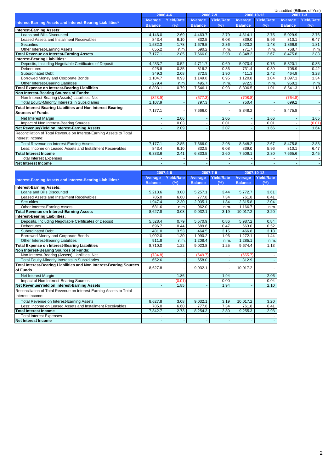|                                                                     |                |                   |                |                   |                |            | Unaudited (Billions of Yen) |                   |
|---------------------------------------------------------------------|----------------|-------------------|----------------|-------------------|----------------|------------|-----------------------------|-------------------|
|                                                                     |                | 2006.4-6          |                | 2006.7-9          |                | 2006.10-12 |                             | 2007.1-3          |
|                                                                     | Average        | <b>Yield/Rate</b> | Average        | <b>Yield/Rate</b> | Average        | Yield/Rate | Average                     | <b>Yield/Rate</b> |
| Interest-Earning Assets and Interest-Bearing Liabilities*           | <b>Balance</b> | (%)               | <b>Balance</b> | (%)               | <b>Balance</b> | (%)        | <b>Balance</b>              | (%)               |
| <b>Interest-Earning Assets:</b>                                     |                |                   |                |                   |                |            |                             |                   |
| Loans and Bills Discounted                                          | 4.146.0        | 2.69              | 4.463.7        | 2.79              | 4.814.1        | 2.75       | 5.029.9                     | 2.76              |
| Leased Assets and Installment Receivables                           | 843.4          | 6.10              | 832.5          | 6.08              | 839.0          | 5.96       | 810.1                       | 6.47              |
| <b>Securities</b>                                                   | .532.3         | 1.78              | 1,679.5        | 2.36              | 1,923.2        | 1.48       | 1.866.9                     | 1.81              |
| Other Interest-Earning Assets                                       | 655.2          | n.m               | 690.2          | n.m.              | 771.7          | n.m.       | 768.7                       | n.m.              |
| <b>Total Revenue on Interest-Earning Assets</b>                     | 7,177.1        | 2.85              | 7.666.0        | 2.98              | 8.348.2        | 2.67       | 8.475.8                     | 2.83              |
| <b>Interest-Bearing Liabilities:</b>                                |                |                   |                |                   |                |            |                             |                   |
| Deposits, Including Negotiable Certificates of Deposit              | 4,233.7        | 0.52              | 4.711.7        | 0.69              | 5,070.4        | 0.75       | 5,320.1                     | 0.85              |
| <b>Debentures</b>                                                   | 925.8          | 0.35              | 816.2          | 0.36              | 731.4          | 0.39       | 708.9                       | 0.42              |
| <b>Subordinated Debt</b>                                            | 349.3          | 2.08              | 372.5          | 1.90              | 411.3          | 2.42       | 464.9                       | 3.28              |
| Borrowed Money and Corporate Bonds                                  | 1.104.7        | 0.93              | 1.149.8        | 0.95              | 1.120.8        | 1.04       | 1.097.1                     | 1.34              |
| Other Interest-Bearing Liabilities                                  | 279.4          | n.m.              | 495.7          | n.m.              | 972.5          | n.m.       | 950.1                       | n.m.              |
| <b>Total Expense on Interest-Bearing Liabilities</b>                | 6,893.1        | 0.79              | 7.546.1        | 0.93              | 8,306.5        | 1.01       | 8,541.3                     | 1.18              |
| Non Interest-Bearing Sources of Funds:                              |                |                   |                |                   |                |            |                             |                   |
| Non Interest-Bearing (Assets) Liabilities, Net                      | (823.9)        |                   | (677.3)        |                   | (708.8)        |            | (764.8)                     |                   |
| Total Equity-Minority Interests in Subsidiaries                     | 1,107.9        |                   | 797.3          |                   | 750.4          |            | 699.2                       |                   |
| Total Interest-Bearing Liabilities and Non Interest-Bearing         |                |                   |                |                   |                |            |                             |                   |
| <b>Sources of Funds</b>                                             | 7,177.1        |                   | 7.666.0        |                   | 8,348.2        |            | 8,475.8                     |                   |
| Net Interest Margin                                                 |                | 2.06              |                | 2.05              |                | 1.66       |                             | 1.65              |
| Impact of Non Interest-Bearing Sources                              |                | 0.03              |                | 0.01              |                | 0.01       |                             | (0.01)            |
| Net Revenue/Yield on Interest-Earning Assets                        |                | 2.09              |                | 2.07              |                | 1.66       |                             | 1.64              |
| Reconciliation of Total Revenue on Interest-Earning Assets to Total |                |                   |                |                   |                |            |                             |                   |
| Interest Income:                                                    |                |                   |                |                   |                |            |                             |                   |
| <b>Total Revenue on Interest-Earning Assets</b>                     | 7,177.1        | 2.85              | 7,666.0        | 2.98              | 8,348.2        | 2.67       | 8,475.8                     | 2.83              |
| Less: Income on Leased Assets and Installment Receivables           | 843.4          | 6.10              | 832.5          | 6.08              | 839.0          | 5.96       | 810.1                       | 6.47              |
| <b>Total Interest Income</b>                                        | 6,333.6        | 2.41              | 6,833.5        | 2.60              | 7,509.1        | 2.30       | 7,665.6                     | 2.45              |
| <b>Total Interest Expenses</b>                                      |                |                   |                |                   |                |            |                             |                   |
| <b>Net Interest Income</b>                                          |                |                   |                |                   |                |            |                             | $\sim$            |
|                                                                     |                |                   |                |                   |                |            |                             |                   |

|                                                                     |                | 2007.4-6          | 2007.7-9       |                   |                | 2007.10-12        |
|---------------------------------------------------------------------|----------------|-------------------|----------------|-------------------|----------------|-------------------|
| Interest-Earning Assets and Interest-Bearing Liabilities*           | Average        | <b>Yield/Rate</b> | Average        | <b>Yield/Rate</b> | <b>Average</b> | <b>Yield/Rate</b> |
|                                                                     | <b>Balance</b> | (%)               | <b>Balance</b> | (%)               | <b>Balance</b> | $(\%)$            |
| <b>Interest-Earning Assets:</b>                                     |                |                   |                |                   |                |                   |
| Loans and Bills Discounted                                          | 5,213.6        | 3.00              | 5,257.1        | 3.44              | 5,772.7        | 3.61              |
| Leased Assets and Installment Receivables                           | 785.0          | 6.60              | 777.8          | 7.34              | 761.8          | 6.41              |
| <b>Securities</b>                                                   | 1,947.4        | 2.30              | 2,035.1        | 1.84              | 2,315.8        | 2.04              |
| Other Interest-Earning Assets                                       | 681.6          | n.m.              | 962.0          | n.m.              | 1.166.7        | n.m.              |
| <b>Total Revenue on Interest-Earning Assets</b>                     | 8,627.8        | 3.08              | 9,032.1        | 3.19              | 10,017.2       | 3.20              |
| <b>Interest-Bearing Liabilities:</b>                                |                |                   |                |                   |                |                   |
| Deposits, Including Negotiable Certificates of Deposit              | 5,528.4        | 0.79              | 5,570.9        | 0.86              | 5,987.2        | 0.84              |
| <b>Debentures</b>                                                   | 696.7          | 0.44              | 689.6          | 0.47              | 663.0          | 0.52              |
| <b>Subordinated Debt</b>                                            | 481.0          | 3.53              | 464.5          | 3.15              | 466.8          | 3.18              |
| Borrowed Money and Corporate Bonds                                  | 1,092.0        | 1.30              | 1,090.2        | 1.96              | 1,272.1        | 1.44              |
| Other Interest-Bearing Liabilities                                  | 911.8          | n.m               | 1,208.4        | n.m               | 1.285.1        | n.m.              |
| <b>Total Expense on Interest-Bearing Liabilities</b>                | 8,710.0        | 1.22              | 9,023.8        | 1.25              | 9,674.4        | 1.13              |
| Non Interest-Bearing Sources of Funds:                              |                |                   |                |                   |                |                   |
| Non Interest-Bearing (Assets) Liabilities, Net                      | (734.8)        |                   | (649.7)        |                   | (655.7)        |                   |
| Total Equity-Minority Interests in Subsidiaries                     | 652.6          |                   | 658.0          |                   | 312.9          |                   |
| Total Interest-Bearing Liabilities and Non Interest-Bearing Sources |                |                   | 9,032.1        |                   | 10,017.2       |                   |
| of Funds                                                            | 8,627.8        |                   |                |                   |                |                   |
| Net Interest Margin                                                 |                | 1.86              |                | 1.94              |                | 2.06              |
| Impact of Non Interest-Bearing Sources                              |                | (0.01)            |                | 0.00              |                | 0.04              |
| Net Revenue/Yield on Interest-Earning Assets                        |                | 1.85              |                | 1.94              |                | 2.10              |
| Reconciliation of Total Revenue on Interest-Earning Assets to Total |                |                   |                |                   |                |                   |
| Interest Income:                                                    |                |                   |                |                   |                |                   |
| <b>Total Revenue on Interest-Earning Assets</b>                     | 8,627.8        | 3.08              | 9,032.1        | 3.19              | 10,017.2       | 3.20              |
| Less: Income on Leased Assets and Installment Receivables           | 785.0          | 6.60              | 777.8          | 7.34              | 761.8          | 6.41              |
| <b>Total Interest Income</b>                                        | 7,842.7        | 2.73              | 8,254.3        | 2.80              | 9,255.3        | 2.93              |
| <b>Total Interest Expenses</b>                                      |                |                   |                |                   |                |                   |
| <b>Net Interest Income</b>                                          |                |                   |                |                   |                |                   |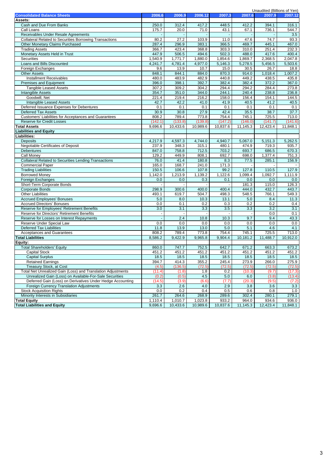|                                                                |         |          |          |          |          | Unaudited (Billions of Yen) |          |
|----------------------------------------------------------------|---------|----------|----------|----------|----------|-----------------------------|----------|
| <b>Consolidated Balance Sheets</b>                             | 2006.6  | 2006.9   | 2006.12  | 2007.3   | 2007.6   | 2007.9                      | 2007.12  |
| Assets:                                                        |         |          |          |          |          |                             |          |
| Cash and Due From Banks                                        | 250.0   | 312.4    | 417.2    | 448.5    | 412.2    | 394.1                       | 316.1    |
| Call Loans                                                     | 175.7   | 20.0     | 71.0     | 43.1     | 67.1     | 736.1                       | 544.7    |
| Receivables Under Resale Agreements                            |         |          |          |          |          |                             | 3.5      |
| <b>Collateral Related to Securities Borrowing Transactions</b> | 80.2    | 27.2     | 103.9    | 11.0     | 47.6     | 74.7                        | 93.3     |
| Other Monetary Claims Purchased                                | 287.4   | 296.9    | 383.1    | 366.5    | 469.7    | 445.1                       | 467.0    |
| <b>Trading Assets</b>                                          | 366.7   | 423.4    | 368.8    | 303.3    | 310.0    | 251.4                       | 232.3    |
| Monetary Assets Held in Trust                                  | 447.9   | 506.5    | 494.6    | 502.3    | 488.0    | 417.6                       | 400.4    |
| Securities                                                     | 1,540.9 | 1,771.7  | 1,880.0  | 1,854.6  | 1,869.7  | 2,368.5                     | 2,047.8  |
| Loans and Bills Discounted                                     | 4,241.7 | 4,781.4  | 4,977.0  | 5,146.3  | 5,278.5  | 5,456.5                     | 5,503.6  |
| Foreign Exchanges                                              | 9.6     | 13.9     | 10.7     | 15.0     | 30.5     | 26.7                        | 18.8     |
| <b>Other Assets</b>                                            | 848.1   | 844.1    | 884.0    | 870.3    | 914.0    | 1,018.4                     | 1,007.2  |
| <b>Installment Receivables</b>                                 | 480.0   | 483.9    | 482.9    | 440.8    | 449.2    | 438.5                       | 435.8    |
| Premises and Equipment                                         | 396.0   | 398.1    | 392.7    | 382.4    | 382.4    | 372.2                       | 367.0    |
| <b>Tangible Leased Assets</b>                                  | 307.2   | 309.2    | 304.2    | 294.4    | 294.2    | 284.4                       | 273.8    |
| <b>Intangible Assets</b>                                       | 354.7   | 351.0    | 344.0    | 244.1    | 240.4    | 238.8                       | 236.8    |
| Goodwill, Net                                                  | 221.4   | 219.4    | 216.2    | 158.0    | 156.4    | 154.1                       | 144.5    |
| Intangible Leased Assets                                       | 42.7    | 42.2     | 41.0     | 41.9     | 40.5     | 41.2                        | 40.5     |
| Deferred Issuance Expenses for Debentures                      | 0.1     | 0.1      | 0.1      | 0.1      | 0.1      | 0.1                         | 0.1      |
| <b>Deferred Tax Assets</b>                                     | 30.9    | 30.8     | 27.9     | 42.4     | 35.5     | 38.7                        | 37.7     |
| Customers' Liabilities for Acceptances and Guarantees          | 808.2   | 789.4    | 773.8    | 754.4    | 745.1    | 725.5                       | 713.0    |
| <b>Reserve for Credit Losses</b>                               | (142.1) | (133.8)  | (139.8)  | (147.2)  | (146.0)  | (141.7)                     | (141.6)  |
| <b>Total Assets</b>                                            | 9,696.6 | 10,433.6 | 10,989.6 | 10,837.6 | 11,145.3 | 12,423.4                    | 11,848.1 |
| <b>Liabilities and Equity</b>                                  |         |          |          |          |          |                             |          |
| Liabilities:                                                   |         |          |          |          |          |                             |          |
| <b>Deposits</b>                                                | 4,217.9 | 4,597.3  | 4,744.0  | 4,940.7  | 5,067.0  | 5,151.3                     | 5,262.5  |
| Negotiable Certificates of Deposit                             | 237.9   | 348.3    | 315.1    | 480.1    | 474.9    | 719.3                       | 935.7    |
| <b>Debentures</b>                                              | 847.0   | 758.8    | 712.5    | 703.2    | 693.7    | 686.5                       | 670.3    |
| Call Money                                                     | 129.2   | 449.9    | 808.1    | 692.7    | 698.0    | 1,377.4                     | 751.3    |
| <b>Collateral Related to Securities Lending Transactions</b>   | 76.0    | 41.4     | 180.8    | 8.3      |          | 285.1                       | 156.9    |
|                                                                | 165.0   | 168.7    | 241.0    | 171.3    | 77.5     |                             |          |
| <b>Commercial Paper</b>                                        |         |          |          |          |          |                             | 127.9    |
| <b>Trading Liabilities</b>                                     | 150.5   | 106.6    | 107.8    | 99.2     | 127.8    | 110.5                       |          |
| <b>Borrowed Money</b>                                          | 1,142.0 | 1,213.9  | 1,139.2  | 1,122.6  | 1,099.4  | 1,092.7                     | 1,111.9  |
| Foreign Exchanges                                              | 0.0     | 0.0      | 0.3      | 0.1      | 0.0      | 0.0                         | 0.0      |
| Short-Term Corporate Bonds                                     |         |          |          |          | 181.3    | 115.0                       | 126.3    |
| <b>Corporate Bonds</b>                                         | 298.9   | 300.6    | 400.0    | 400.4    | 444.0    | 432.7                       | 443.7    |
| <b>Other Liabilities</b>                                       | 493.1   | 619.7    | 504.7    | 498.3    | 548.5    | 766.1                       | 549.3    |
| <b>Accrued Employees' Bonuses</b>                              | 5.0     | 8.0      | 10.3     | 13.1     | 5.0      | 8.4                         | 11.3     |
| <b>Accrued Directors' Bonuses</b>                              | 0.0     | 0.1      | 0.2      | 0.3      | 0.2      | 0.2                         | 0.4      |
| Reserve for Employees' Retirement Benefits                     | 3.0     | 3.1      | 3.3      | 3.5      | 3.3      | 3.2                         | 3.1      |
| Reserve for Directors' Retirement Benefits                     |         |          |          |          |          | 0.0                         | 0.1      |
| Reserve for Losses on Interest Repayments                      |         | 2.4      | 10.8     | 10.3     | 9.7      | 9.4                         | 43.3     |
| Reserve Under Special Law                                      | 0.0     | 0.0      | 0.0      | 0.0      | 0.0      | 0.0                         | 0.0      |
| <b>Deferred Tax Liabilities</b>                                | 11.8    | 13.9     | 13.0     | 5.0      | 5.1      | 4.6                         | 4.1      |
| Acceptances and Guarantees                                     | 808.2   | 789.4    | 773.8    | 754.4    | 745.1    | 725.5                       | 713.0    |
| <b>Total Liabilities</b>                                       | 8,586.2 | 9,422.9  | 9,965.8  | 9.904.4  | 10,181.2 | 11.488.7                    | 10,912.0 |
| Equity:                                                        |         |          |          |          |          |                             |          |
| <b>Total Shareholders' Equity</b>                              | 860.0   | 747.7    | 752.5    | 642.7    | 671.2    | 663.3                       | 673.2    |
| <b>Capital Stock</b>                                           | 451.2   | 451.2    | 451.2    | 451.2    | 451.2    | 451.2                       | 451.2    |
| <b>Capital Surplus</b>                                         | 18.5    | 18.5     | 18.5     | 18.5     | 18.5     | 18.5                        | 18.5     |
| <b>Retained Earnings</b>                                       | 394.7   | 414.3    | 355.2    | 245.4    | 273.9    | 266.0                       | 275.9    |
| <b>Treasury Stock, at Cost</b>                                 | (4.5)   | (136.5)  | (72.5)   | (72.5)   | (72.5)   | (72.5)                      | (72.5)   |
| Total Net Unrealized Gain (Loss) and Translation Adjustments   | (11.4)  | (1.8)    | 1.8      | 0.2      | (10.3)   | (9.7)                       | (17.3)   |
| Unrealized Gain (Loss) on Available-For-Sale Securities        | (0.2)   | (0.5)    | 4.5      | 5.0      | 6.0      | (3.8)                       | (13.4)   |
| Deferred Gain (Loss) on Derivatives Under Hedge Accounting     | (14.5)  | (3.9)    | (6.6)    | (7.7)    | (20.3)   | (9.5)                       | (7.2)    |
| <b>Foreign Currency Translation Adjustments</b>                | 3.3     | 2.6      | 4.0      | 2.9      | 3.8      | 3.6                         | 3.3      |
| <b>Stock Acquisition Rights</b>                                | 0.0     | 0.2      | 0.4      | 0.5      | 0.6      | 0.8                         | 1.0      |
| Minority Interests in Subsidiaries                             | 261.7   | 264.6    | 268.9    | 289.6    | 302.4    | 280.1                       | 279.1    |
| <b>Total Equity</b>                                            | 1,110.4 | 1,010.7  | 1,023.8  | 933.2    | 964.0    | 934.6                       | 936.0    |
| <b>Total Liabilities and Equity</b>                            | 9,696.6 | 10,433.6 | 10,989.6 | 10,837.6 | 11,145.3 | 12,423.4                    | 11,848.1 |
|                                                                |         |          |          |          |          |                             |          |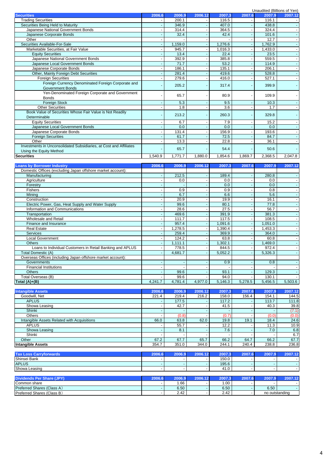|                                                                    |         |         |         |         |         | Unaudited (Billions of Yen) |         |
|--------------------------------------------------------------------|---------|---------|---------|---------|---------|-----------------------------|---------|
| <b>Securities</b>                                                  | 2006.6  | 2006.9  | 2006.12 | 2007.3  | 2007.6  | 2007.9                      | 2007.12 |
| <b>Trading Securities</b>                                          |         | 200.1   |         | 116.5   |         | 116.1                       |         |
| Securities Being Held to Maturity                                  |         | 346.9   |         | 407.0   |         | 438.8                       |         |
| Japanese National Government Bonds                                 |         | 314.4   |         | 364.5   |         | 324.4                       |         |
| Japanese Corporate Bonds                                           |         | 32.4    |         | 42.4    |         | 101.6                       |         |
| Other                                                              |         |         |         |         |         | 12.7                        |         |
| Securities Available-For-Sale                                      |         | 1,159.0 |         | 1.276.6 |         | 1,762.9                     |         |
| Marketable Securities, at Fair Value                               |         | 945.7   |         | 1,016.3 |         | 1,433.0                     |         |
| <b>Equity Securities</b>                                           |         | 13.4    |         | 22.4    |         | 23.5                        |         |
| Japanese National Government Bonds                                 |         | 392.9   |         | 385.8   |         | 559.5                       |         |
| Japanese Local Government Bonds                                    |         | 71.7    |         | 53.2    |         | 114.9                       |         |
| Japanese Corporate Bonds                                           |         | 186.1   |         | 135.1   |         | 206.1                       |         |
| Other, Mainly Foreign Debt Securities                              |         | 281.4   |         | 419.6   |         | 528.8                       |         |
| <b>Foreign Securities</b>                                          |         | 279.6   |         | 416.0   |         | 527.1                       |         |
| Foreign Currency Denominated Foreign Corporate and                 |         | 205.2   |         | 317.4   |         | 399.9                       |         |
| <b>Government Bonds</b>                                            |         |         |         |         |         |                             |         |
| Yen-Denominated Foreign Corporate and Government                   |         | 65.7    |         | 80.9    |         | 109.9                       |         |
| <b>Bonds</b>                                                       |         |         |         |         |         |                             |         |
| <b>Foreign Stock</b>                                               |         | 5.3     |         | 9.5     |         | 10.3                        |         |
| <b>Other Securities</b>                                            |         | 1.8     |         | 3.6     |         | 1.7                         |         |
| Book Value of Securities Whose Fair Value is Not Readily           |         | 213.2   |         | 260.3   |         | 329.8                       |         |
| Determinable                                                       |         |         |         |         |         |                             |         |
| <b>Equity Securities</b>                                           |         | 6.7     |         | 7.9     |         | 15.2                        |         |
| Japanese Local Government Bonds                                    |         | 0.0     |         | 0.0     |         | 0.0                         |         |
| Japanese Corporate Bonds                                           |         | 131.4   |         | 156.9   |         | 193.6                       |         |
| <b>Foreign Securities</b>                                          |         | 61.7    |         | 72.5    |         | 84.7                        |         |
| Other                                                              |         | 13.3    |         | 22.8    |         | 36.1                        |         |
| Investments in Unconsolidated Subsidiaries, at Cost and Affiliates |         |         |         | 54.4    |         | 50.6                        |         |
| Using the Equity Method                                            |         | 65.7    |         |         |         |                             |         |
| <b>Securities</b>                                                  | 1.540.9 | 1.771.7 | 1.880.0 | 1.854.6 | 1.869.7 | 2,368.5                     | 2,047.8 |

| <b>Loans by Borrower Industry</b>                           | 2006.6  | 2006.9  | 2006.12 | 2007.3  | 2007.6                   | 2007.9  | 2007.12 |
|-------------------------------------------------------------|---------|---------|---------|---------|--------------------------|---------|---------|
| Domestic Offices (excluding Japan offshore market account): |         |         |         |         |                          |         |         |
| Manufacturing                                               |         | 212.5   |         | 189.4   |                          | 280.8   |         |
| Agriculture                                                 |         | 0.0     |         | 0.0     |                          | 0.0     |         |
| Forestry                                                    |         |         |         | 0.0     |                          | 0.0     |         |
| <b>Fishers</b>                                              |         | 0.9     |         | 0.9     |                          | 0.8     |         |
| Mining                                                      |         | 6.7     |         | 6.6     |                          | 5.6     |         |
| Construction                                                |         | 20.9    |         | 19.9    |                          | 16.1    |         |
| Electric Power, Gas, Heat Supply and Water Supply           |         | 99.6    |         | 80.1    |                          | 77.8    |         |
| Information and Communications                              |         | 28.6    |         | 27.5    |                          | 56.7    |         |
| Transportation                                              |         | 469.6   |         | 391.9   |                          | 381.3   |         |
| Wholesale and Retail                                        |         | 111.7   |         | 117.5   | $\overline{\phantom{a}}$ | 108.5   |         |
| Finance and Insurance                                       |         | 957.4   |         | 1,091.6 |                          | 1,051.0 |         |
| <b>Real Estate</b>                                          |         | .278.5  |         | ,390.4  |                          | 1,453.3 |         |
| <b>Services</b>                                             |         | 259.4   |         | 369.9   |                          | 364.0   |         |
| Local Government                                            |         | 124.2   |         | 63.8    |                          | 60.8    |         |
| <b>Others</b>                                               |         | 1.111.1 |         | 1,302.1 |                          | A69.0   |         |
| Loans to Individual Customers in Retail Banking and APLUS   |         | 778.5   |         | 844.5   |                          | 972.4   |         |
| Total Domestic (A)                                          |         | 4,681.7 |         | 5,052.2 |                          | 5,326.3 |         |
| Overseas Offices (including Japan offshore market account): |         |         |         |         |                          |         |         |
| <b>Governments</b>                                          |         |         |         | 0.9     |                          | 0.8     |         |
| <b>Financial Institutions</b>                               |         |         |         |         |                          |         |         |
| <b>Others</b>                                               |         | 99.6    |         | 93.1    |                          | 129.3   |         |
| Total Overseas (B)                                          |         | 99.6    |         | 94.0    |                          | 130.1   |         |
| Total $(A)+(B)$                                             | 4,241.7 | 4,781.4 | 4,977.0 | 5,146.3 | 5,278.5                  | 5,456.5 | 5,503.6 |

| <b>Intangible Assets</b>                    | 2006.6                   | 2006.9 | 2006.12 | 2007.3                   | 2007.6 | 2007.9                   | 2007.12 |
|---------------------------------------------|--------------------------|--------|---------|--------------------------|--------|--------------------------|---------|
| Goodwill, Net                               | 221.4                    | 219.4  | 216.2   | 158.0                    | 156.4  | 154.1                    | 144.5   |
| <b>APLUS</b>                                |                          | 177.5  |         | 117.2                    |        | 113.7                    | 111.8   |
| Showa Leasing                               |                          | 42.7   |         | 41.5                     |        | 40.3                     | 39.8    |
| Shinki                                      |                          |        |         | $\overline{\phantom{a}}$ |        |                          | (7.1)   |
| <b>Others</b>                               |                          | (0.8)  |         | (0.7)                    |        | (0.0)                    | (0.0)   |
| Intangible Assets Related with Acquisitions | 66.0                     | 63.8   | 62.0    | 19.8                     | 19.1   | 18.4                     | 24.6    |
| <b>APLUS</b>                                |                          | 55.7   |         | 12.2                     |        | 11.3                     | 10.9    |
| Showa Leasing                               |                          | 8.1    |         | 7.6                      |        | 7.0                      | 6.8     |
| Shinki                                      |                          |        |         |                          |        |                          | 6.7     |
| Other                                       | 67.2                     | 67.7   | 65.7    | 66.2                     | 64.7   | 66.2                     | 67.7    |
| <b>Intangible Assets</b>                    | 354.7                    | 351.0  | 344.0   | 244.1                    | 240.4  | 238.8                    | 236.8   |
|                                             |                          |        |         |                          |        |                          |         |
| <b>Tax Loss Carryforwards</b>               | 2006.6                   | 2006.9 | 2006.12 | 2007.3                   | 2007.6 | 2007.9                   | 2007.12 |
| Shinsei Bank                                |                          |        |         | 150.0                    |        |                          |         |
| <b>APLUS</b>                                |                          |        |         | 195.6                    |        |                          |         |
| Showa Leasing                               | $\overline{\phantom{a}}$ |        |         | 41.0                     | ٠      | $\overline{\phantom{0}}$ |         |

| <b>Dividends Per Share (JPY)</b> | 2006.6 |      | 2006.12 | 2007.3 | 2007. | 2007           | 2007.12 |
|----------------------------------|--------|------|---------|--------|-------|----------------|---------|
| Common share                     |        | . 66 |         | .00    |       |                |         |
| Preferred Shares (Class A)       |        | 6.50 |         | 6.50   |       | 6.50           |         |
| Preferred Shares (Class B)       |        | 2.42 |         | 2.42   |       | no outstanding |         |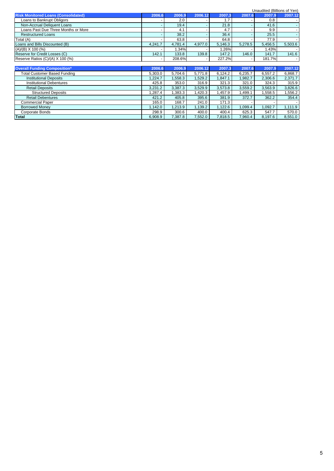|                                            |         |         |         |         |         | Unaudited (Billions of Yen) |         |
|--------------------------------------------|---------|---------|---------|---------|---------|-----------------------------|---------|
| <b>Risk Monitored Loans (Consolidated)</b> | 2006.6  | 2006.9  | 2006.12 | 2007.3  | 2007.6  | 2007.9                      | 2007.12 |
| Loans to Bankrupt Obligors                 |         | 2.0     |         | 1.7     |         | 0.8                         |         |
| Non-Accrual Deliquent Loans                |         | 19.4    |         | 21.8    |         | 41.6                        |         |
| Loans Past Due Three Months or More        |         | 4.1     |         | 4.7     | ۰       | 9.9                         |         |
| <b>Restructured Loans</b>                  |         | 38.2    |         | 36.4    | ٠       | 25.5                        |         |
| Total (A)                                  |         | 63.8    |         | 64.8    |         | 77.9                        |         |
| Loans and Bills Discounted (B)             | 4,241.7 | 4,781.4 | 4,977.0 | 5,146.3 | 5,278.5 | 5,456.5                     | 5,503.6 |
| $(A)/(B)$ X 100 $(\%)$                     |         | 1.34%   |         | .26%    |         | 1.43%                       |         |
| Reserve for Credit Losses (C)              | 142.1   | 133.8   | 139.8   | 147.2   | 146.0   | 141.7                       | 141.6   |
| Reserve Ratios (C)/(A) X 100 (%)           |         | 208.6%  |         | 227.2%  |         | 181.7%                      |         |
|                                            |         |         |         |         |         |                             |         |
| <b>Overall Funding Composition*</b>        | 2006.6  | 2006.9  | 2006.12 | 2007.3  | 2007.6  | 2007.9                      | 2007.12 |
| <b>Total Customer Based Funding</b>        | 5.303.0 | 5,704.6 | 5,771.8 | 6,124.2 | 6,235.7 | 6,557.2                     | 6,868.7 |
| <b>Institutional Deposits</b>              | 1.224.7 | 1,558.3 | .529.2  | 1.847.1 | 1.982.7 | 2,306.6                     | 2.371.7 |
| <b>Institutional Debentures</b>            | 425.8   | 353.0   | 316.9   | 321.3   | 321.0   | 324.3                       | 315.9   |
| <b>Retail Deposits</b>                     | 3,231.2 | 3,387.3 | 3,529.9 | 3,573.8 | 3,559.2 | 3,563.9                     | 3,826.6 |
| <b>Structured Deposits</b>                 | .287.4  | 1,383.3 | ,420.3  | 1,457.9 | ,499.1  | 1,558.5                     | .556.2  |
| <b>Retail Debentures</b>                   | 421.2   | 405.8   | 395.6   | 381.9   | 372.7   | 362.2                       | 354.4   |
| <b>Commercial Paper</b>                    | 165.0   | 168.7   | 241.0   | 171.3   |         |                             |         |
| <b>Borrowed Money</b>                      | 1,142.0 | 1,213.9 | 1,139.2 | 1,122.6 | 1,099.4 | 1,092.7                     | 1,111.9 |
| Corporate Bonds                            | 298.9   | 300.6   | 400.0   | 400.4   | 625.3   | 547.7                       | 570.0   |
| Total                                      | 6.908.9 | 7.387.8 | 7,552.0 | 7.818.5 | 7.960.4 | 8,197.6                     | 8,551.0 |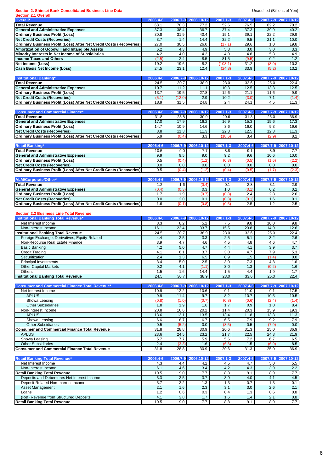#### **Section 2. Shinsei Bank Consolidated Business Line Data Data Exercise 2. All and Section 2. Shinsei Bank Consolidated Business Line Data Unaudited (Billions of Yen)**

| <b>Section 2.1 Overall</b>                                                                                                                                                     |             |               |              |               |              |               |                                                                                                                                                                 |
|--------------------------------------------------------------------------------------------------------------------------------------------------------------------------------|-------------|---------------|--------------|---------------|--------------|---------------|-----------------------------------------------------------------------------------------------------------------------------------------------------------------|
| Overall*                                                                                                                                                                       | 2006.4-6    | 2006.7-9      | 2006.10-12   | 2007.1-3      | 2007.4-6     |               | 2007.7-9 2007.10-12                                                                                                                                             |
| <b>Total Revenue</b>                                                                                                                                                           | 68.1        | 70.3          | 77.2         | 52.6          | 76.5         | 62.2          | 70.2                                                                                                                                                            |
| <b>General and Administrative Expenses</b>                                                                                                                                     | 37.3        | 38.4          | 36.7         | 37.4          | 37.3         | 39.9          | 40.2                                                                                                                                                            |
| <b>Ordinary Business Profit (Loss)</b>                                                                                                                                         | 30.8<br>3.7 | 31.9          | 40.4         | 15.1<br>32.2  | 39.1<br>9.5  | 22.2          | 29.9                                                                                                                                                            |
| <b>Net Credit Costs (Recoveries)</b><br>Ordinary Business Profit (Loss) After Net Credit Costs (Recoveries)                                                                    | 27.0        | 1.4<br>30.5   | 14.4<br>26.0 | (17.1)        | 29.6         | 21.1<br>1.0   | 10.0<br>19.8                                                                                                                                                    |
| Amortization of Goodwill and Intangible Assets                                                                                                                                 | 6.2         | 4.3           | 4.9          | 5.3           | 3.0          | 3.0           | 3.3                                                                                                                                                             |
| Minority Interests in Net Income of Subsidiaries                                                                                                                               | 4.2         | 4.0           | 4.2          | 4.0           | 4.8          | 5.8           | 4.9                                                                                                                                                             |
| <b>Income Taxes and Others</b>                                                                                                                                                 | (2.5)       | 2.4           | 8.5          | 81.5          | (9.5)        | 0.2           | 1.2                                                                                                                                                             |
| Net Income (Loss)                                                                                                                                                              | 19.2        | 19.6          | 8.2          | (108.1)       | 31.2         | (8.0)         | 10.3                                                                                                                                                            |
| <b>Cash Basis Net Income (Loss)</b>                                                                                                                                            | 24.5        | 23.1          | 12.4         | (24.8)        | 33.9         | (5.2)         | 13.2                                                                                                                                                            |
|                                                                                                                                                                                |             |               |              |               |              |               |                                                                                                                                                                 |
| <b>Institutional Banking*</b>                                                                                                                                                  | 2006.4-6    | 2006.7-9      | 2006.10-12   | 2007.1-3      | 2007.4-6     | 2007.7-9      | 2007.10-12                                                                                                                                                      |
| <b>Total Revenue</b>                                                                                                                                                           | 24.5        | 30.7          | 38.9         | 23.0          | 33.6         | 25.0          | 22.4                                                                                                                                                            |
| <b>General and Administrative Expenses</b>                                                                                                                                     | 10.7        | 11.2          | 11.1         | 10.3          | 12.5         | 13.3          | 12.5                                                                                                                                                            |
| <b>Ordinary Business Profit (Loss)</b>                                                                                                                                         | 13.7        | 19.5          | 27.8         | 12.6          | 21.1         | 11.6          | 9.9                                                                                                                                                             |
| <b>Net Credit Costs (Recoveries)</b>                                                                                                                                           | (5.1)       | (12.0)        | 2.9          | 10.2          | (3.0)        | 7.1           | (1.4)                                                                                                                                                           |
| Ordinary Business Profit (Loss) After Net Credit Costs (Recoveries)                                                                                                            | 18.9        | 31.5          | 24.8         | 2.4           | 24.1         | 4.5           | 11.3                                                                                                                                                            |
|                                                                                                                                                                                |             |               |              |               |              |               |                                                                                                                                                                 |
| <b>Consumer and Commercial Finance*</b>                                                                                                                                        | 2006.4-6    | 2006.7-9      | 2006.10-12   | 2007.1-3      | 2007.4-6     | 2007.7-9      | 2007.10-12                                                                                                                                                      |
| <b>Total Revenue</b>                                                                                                                                                           | 31.8        | 28.8          | 30.9         | 20.6          | 31.3         | 25.0          | 36.9                                                                                                                                                            |
| <b>General and Administrative Expenses</b>                                                                                                                                     | 17.0        | 17.9          | 16.2         | 16.9          | 15.3         | 15.6          | 17.3                                                                                                                                                            |
| <b>Ordinary Business Profit (Loss)</b>                                                                                                                                         | 14.7        | 10.9          | 14.6         | 3.6           | 16.0         | 9.3           | 19.6                                                                                                                                                            |
| <b>Net Credit Costs (Recoveries)</b>                                                                                                                                           | 8.8         | 11.3          | 11.3         | 22.3          | 12.5         | 12.3          | 11.3                                                                                                                                                            |
| Ordinary Business Profit (Loss) After Net Credit Costs (Recoveries)                                                                                                            | 5.9         | (0.4)         | 3.3          | (18.6)        | 3.4          | (2.9)         | 8.2                                                                                                                                                             |
|                                                                                                                                                                                |             |               |              |               |              |               |                                                                                                                                                                 |
| <b>Retail Banking'</b>                                                                                                                                                         | 2006.4-6    | 2006.7-9      | 2006.10-12   | 2007.1-3      | 2007.4-6     | 2007.7-9      | 2007.10-12                                                                                                                                                      |
| <b>Total Revenue</b>                                                                                                                                                           | 10.5        | 9.0           | 7.7          | 8.8           | 9.1          | 8.9           | 7.7                                                                                                                                                             |
| <b>General and Administrative Expenses</b>                                                                                                                                     | 9.9         | 9.5           | 9.0          | 9.2           | 9.6          | 10.6          | 10.0                                                                                                                                                            |
| <b>Ordinary Business Profit (Loss)</b><br><b>Net Credit Costs (Recoveries)</b>                                                                                                 | 0.5<br>0.0  | (0.4)<br>0.0  | (1.2)<br>0.0 | (0.3)<br>0.0  | (0.5)<br>0.0 | (1.6)<br>0.0  | (2.2)<br>0.0                                                                                                                                                    |
| Ordinary Business Profit (Loss) After Net Credit Costs (Recoveries)                                                                                                            | 0.5         | (0.4)         | (1.2)        | (0.4)         | (0.5)        | (1.7)         | (2.3)                                                                                                                                                           |
|                                                                                                                                                                                |             |               |              |               |              |               |                                                                                                                                                                 |
| ALM/Corporate/Other*                                                                                                                                                           | 2006.4-6    | 2006.7-9      | 2006.10-12   | 2007.1-3      | 2007.4-6     | 2007.7-9      | 2007.10-12                                                                                                                                                      |
| <b>Total Revenue</b>                                                                                                                                                           | 1.2         | 1.6           | (0.4)        | 0.1           | 2.3          | 3.1           | 2.9                                                                                                                                                             |
| <b>General and Administrative Expenses</b>                                                                                                                                     | (0.4)       | (0.3)         | 0.3          | 1.0           | (0.1)        | 0.2           | 0.2                                                                                                                                                             |
| <b>Ordinary Business Profit (Loss)</b>                                                                                                                                         | 1.7         | 1.9           | (0.7)        | (0.8)         | 2.4          | 2.8           | 2.6                                                                                                                                                             |
| <b>Net Credit Costs (Recoveries)</b>                                                                                                                                           | 0.0         | 2.0           | 0.1          | (0.3)         | (0.1)        | 1.6           | 0.1                                                                                                                                                             |
| Ordinary Business Profit (Loss) After Net Credit Costs (Recoveries)                                                                                                            | 1.6         | (0.1)         | (0.8)        | (0.5)         | 2.5          | 1.2           | 2.5                                                                                                                                                             |
|                                                                                                                                                                                |             |               |              |               |              |               |                                                                                                                                                                 |
|                                                                                                                                                                                |             |               |              |               |              |               |                                                                                                                                                                 |
|                                                                                                                                                                                |             |               |              |               |              |               |                                                                                                                                                                 |
|                                                                                                                                                                                | 2006.4-6    | 2006.7-9      | 2006.10-12   | 2007.1-3      | 2007.4-6     | 2007.7-9      |                                                                                                                                                                 |
| Net Interest Income                                                                                                                                                            | 8.3         | 8.2           | 5.2          | 7.5           | 9.8          | 10.0          | 2007.10-12<br>9.8                                                                                                                                               |
| <b>Section 2.2 Business Line Total Revenue</b><br>Non-Interest Income                                                                                                          | 16.1        | 22.4          | 33.7         | 15.5          | 23.8         | 14.9          | 12.6                                                                                                                                                            |
|                                                                                                                                                                                | 24.5        | 30.7          | 38.9         | 23.0          | 33.6         | 25.0          | 22.4                                                                                                                                                            |
| Foreign Exchange, Derivatives, Equity-Related                                                                                                                                  | 4.4         | 2.5           | 3.3          | 2.5           | 5.1          | 3.2           | 2.6                                                                                                                                                             |
| Non-Recourse Real Estate Finance                                                                                                                                               | 3.9         | 4.7           | 4.6          | 4.5           | 4.8          | 4.6           | 4.7                                                                                                                                                             |
| <b>Basic Banking</b>                                                                                                                                                           | 4.2         | 5.0           | 4.7          | 4.4           | 4.1          | 3.9           | 3.7                                                                                                                                                             |
| Credit Trading                                                                                                                                                                 | 4.1         | 6.1           | 3.7          | 3.0           | 4.7          | 7.9           | 5.3                                                                                                                                                             |
| Securitization                                                                                                                                                                 | 2.4         | 1.3           | 6.5          | 0.9           | 1.5          | (1.4)         | 0.8                                                                                                                                                             |
| <b>Principal Investments</b>                                                                                                                                                   | 3.4         | 5.0           | 2.5          | 3.0           | 7.3          | 4.8           |                                                                                                                                                                 |
| <b>Other Capital Markets</b>                                                                                                                                                   | 0.2         | 4.1           | (1.1)        | 3.0           | 1.3          | (0.2)         |                                                                                                                                                                 |
| Others                                                                                                                                                                         | 1.5         | 1.6           | 14.4         | 1.5           | 4.4          | 1.9           |                                                                                                                                                                 |
|                                                                                                                                                                                | 24.5        | 30.7          | 38.9         | 23.0          | 33.6         | 25.0          | 1.7                                                                                                                                                             |
|                                                                                                                                                                                |             |               |              |               |              |               |                                                                                                                                                                 |
|                                                                                                                                                                                | 2006.4-6    | 2006.7-9      | 2006.10-12   | 2007.1-3      | 2007.4-6     | 2007.7-9      |                                                                                                                                                                 |
| <b>Consumer and Commercial Finance Total Revenue*</b><br>Net Interest Income                                                                                                   | 10.9        | 12.2          | 10.6         | 9.1           | 11.0         | 9.1           |                                                                                                                                                                 |
| <b>APLUS</b>                                                                                                                                                                   | 9.9         | 11.4          | 9.7          | 8.2           | 10.7         | 10.5          |                                                                                                                                                                 |
| Showa Leasing                                                                                                                                                                  | (0.8)       | (1.0)         | (0.7)        | (0.8)         | (0.6)        | (2.4)         |                                                                                                                                                                 |
| <b>Other Subsidiaries</b>                                                                                                                                                      | 1.8         | 1.9           | 1.6          | 1.7           | 0.9          | 1.0           |                                                                                                                                                                 |
| Non-Interest Income                                                                                                                                                            | 20.8        | 16.6          | 20.2         | 11.4          | 20.3         | 15.9          |                                                                                                                                                                 |
| <b>APLUS</b>                                                                                                                                                                   | 13.6        | 13.1          | 13.5         | 13.4          | 11.8         | 13.8          |                                                                                                                                                                 |
| Showa Leasing                                                                                                                                                                  | 6.6         | 8.7           | 6.7          | 6.5           | 7.9          | 9.2           |                                                                                                                                                                 |
| <b>Other Subsidiaries</b>                                                                                                                                                      | 0.5         | (5.2)         | 0.0          | (8.5)         | 0.5          | (7.0)         |                                                                                                                                                                 |
|                                                                                                                                                                                | 31.8        | 28.8          | 30.9         | 20.6          | 31.3         | 25.0          | 36.9                                                                                                                                                            |
| <b>APLUS</b>                                                                                                                                                                   | 23.6        | 24.5          | 23.2         | 21.7          | 22.5         | 24.3          |                                                                                                                                                                 |
| Showa Leasing                                                                                                                                                                  | 5.7         | 7.7           | 5.9          | 5.6           | 7.2          | 6.7           |                                                                                                                                                                 |
| <b>Other Subsidiaries</b>                                                                                                                                                      | 2.4<br>31.8 | (3.3)<br>28.8 | 1.6<br>30.9  | (6.8)<br>20.6 | 1.5<br>31.3  | (6.0)<br>25.0 |                                                                                                                                                                 |
|                                                                                                                                                                                |             |               |              |               |              |               |                                                                                                                                                                 |
| <b>Consumer and Commercial Finance Total Revenue</b><br><b>Consumer and Commercial Finance Total Revenue</b>                                                                   | 2006.4-6    | 2006.7-9      | 2006.10-12   | 2007.1-3      | 2007.4-6     | 2007.7-9      |                                                                                                                                                                 |
| <b>Retail Banking Total Revenue*</b><br>Net Interest Income                                                                                                                    | 4.3         | 4.4           | 4.2          | 4.5           | 4.7          | 5.0           |                                                                                                                                                                 |
| Non-Interest Income                                                                                                                                                            | 6.1         | 4.6           | 3.4          | 4.2           | 4.3          | 3.9           |                                                                                                                                                                 |
| <b>Institutional Banking Total Revenue*</b><br><b>Institutional Banking Total Revenue</b><br><b>Institutional Banking Total Revenue</b><br><b>Retail Banking Total Revenue</b> | 10.5        | 9.0           | 7.7          | 8.8           | 9.1          | 8.9           | 1.6<br>1.6<br>22.4<br>2007.10-12<br>17.5<br>10.5<br>(1.4)<br>8.4<br>19.3<br>11.3<br>7.9<br>0.0<br>21.9<br>6.5<br>8.5<br>36.9<br>2007.10-12<br>5.5<br>2.2<br>7.7 |
| Deposits and Debentures Net Interest Income                                                                                                                                    | 3.3         | 3.5           | 3.7          | 3.9           | 4.0          | 4.1           |                                                                                                                                                                 |
| Deposit-Related Non-Interest Income                                                                                                                                            | 3.7         | 3.2           | 1.3          | 1.3           | 0.7          | 1.3           |                                                                                                                                                                 |
| <b>Asset Management</b>                                                                                                                                                        | 2.1         | 1.6           | 2.3          | 3.1           | 3.0          | 2.6           | 2.1                                                                                                                                                             |
| Loans                                                                                                                                                                          | $1.2$       | 0.6           | 0.3          | 0.4           | 1.3          | 0.6           | 4.5<br>0.1<br>0.8                                                                                                                                               |
| (Ref) Revenue from Structured Deposits                                                                                                                                         | 4.1         | 3.8           | 1.7          | 1.6           | 1.4          | 2.1           | 0.8                                                                                                                                                             |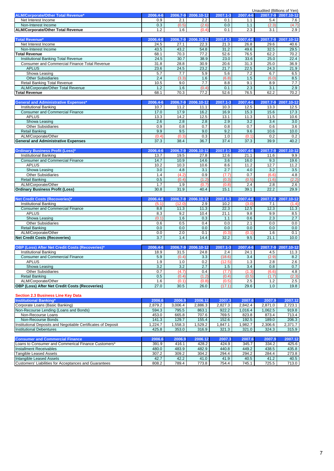|                                                                                       | Unaudited (Billions of Yen) |                |                |                |                |                |                |  |
|---------------------------------------------------------------------------------------|-----------------------------|----------------|----------------|----------------|----------------|----------------|----------------|--|
| ALM/Corporate/Other Total Revenue*                                                    | 2006.4-6                    | 2006.7-9       | 2006.10-12     | 2007.1-3       | 2007.4-6       | $2007.7 - 9$   | 2007.10-12     |  |
| Net Interest Income<br>Non-Interest Income                                            | 0.9<br>0.3                  | 2.1<br>(0.5)   | 2.2            | 0.1<br>0.0     | 1.1            | 5.4<br>(2.3)   | 7.6<br>(4.7)   |  |
| <b>ALM/Corporate/Other Total Revenue</b>                                              | 1.2                         | 1.6            | (2.6)<br>(0.4) | 0.1            | 1.1<br>2.3     | 3.1            | 2.9            |  |
|                                                                                       |                             |                |                |                |                |                |                |  |
| <b>Total Revenue*</b>                                                                 | 2006.4-6                    | 2006.7-9       | 2006.10-12     | 2007.1-3       | 2007.4-6       | 2007.7-9       | 2007.10-12     |  |
| Net Interest Income                                                                   | 24.5                        | 27.1           | 22.3           | 21.3           | 26.8           | 29.6           | 40.6           |  |
| Non-Interest Income                                                                   | 43.5<br>68.1                | 43.2<br>70.3   | 54.8<br>77.2   | 31.2<br>52.6   | 49.6<br>76.5   | 32.5<br>62.2   | 29.5<br>70.2   |  |
| <b>Total Revenue</b><br>Institutional Banking Total Revenue                           | 24.5                        | 30.7           | 38.9           | 23.0           | 33.6           | 25.0           | 22.4           |  |
| Consumer and Commercial Finance Total Revenue                                         | 31.8                        | 28.8           | 30.9           | 20.6           | 31.3           | 25.0           | 36.9           |  |
| <b>APLUS</b>                                                                          | 23.6                        | 24.5           | 23.2           | 21.7           | 22.5           | 24.3           | 21.9           |  |
| Showa Leasing                                                                         | 5.7                         | 7.7            | 5.9            | 5.6            | 7.2            | 6.7            | 6.5            |  |
| <b>Other Subsidiaries</b>                                                             | 2.4                         | (3.3)          | 1.6            | (6.8)          | 1.5            | (6.0)          | 8.5            |  |
| <b>Retail Banking Total Revenue</b>                                                   | 10.5                        | 9.0            | 7.7            | 8.8            | 9.1            | 8.9            | 7.7            |  |
| ALM/Corporate/Other Total Revenue                                                     | 1.2                         | 1.6            | (0.4)          | 0.1            | 2.3            | 3.1            | 2.9            |  |
| <b>Total Revenue</b>                                                                  | 68.1                        | 70.3           | 77.2           | 52.6           | 76.5           | 62.2           | 70.2           |  |
| <b>General and Administrative Expenses*</b>                                           | 2006.4-6                    | 2006.7-9       | 2006.10-12     | 2007.1-3       | 2007.4-6       | 2007.7-9       | 2007.10-12     |  |
| <b>Institutional Banking</b>                                                          | 10.7                        | 11.2           | 11.1           | 10.3           | 12.5           | 13.3           | 12.5           |  |
| <b>Consumer and Commercial Finance</b>                                                | 17.0                        | 17.9           | 16.2           | 16.9           | 15.3           | 15.6           | 17.3           |  |
| <b>APLUS</b>                                                                          | 13.3                        | 14.2           | 12.5           | 13.1           | 11.3           | 11.5           | 10.6           |  |
| Showa Leasing                                                                         | 2.6                         | 2.8            | 2.8            | 2.9            | 3.2            | 3.4            | 3.0            |  |
| <b>Other Subsidiaries</b>                                                             | 0.9                         | 0.8            | 0.7            | 0.8            | 0.7            | 0.6            | 3.6            |  |
| <b>Retail Banking</b>                                                                 | 9.9                         | 9.5            | 9.0            | 9.2            | 9.6            | 10.6           | 10.0           |  |
| ALM/Corporate/Other                                                                   | (0.4)                       | (0.3)          | 0.3            | 1.0            | (0.1)          | 0.2            | 0.2            |  |
| <b>General and Administrative Expenses</b>                                            | 37.3                        | 38.4           | 36.7           | 37.4           | 37.3           | 39.9           | 40.2           |  |
| <b>Ordinary Business Profit (Loss)*</b>                                               | 2006.4-6                    | 2006.7-9       | 2006.10-12     | 2007.1-3       | 2007.4-6       | 2007.7-9       | 2007.10-12     |  |
| Institutional Banking                                                                 | 13.7                        | 19.5           | 27.8           | 12.6           | 21.1           | 11.6           | 9.9            |  |
| <b>Consumer and Commercial Finance</b>                                                | 14.7                        | 10.9           | 14.6           | 3.6            | 16.0           | 9.3            | 19.6           |  |
| <b>APLUS</b>                                                                          | 10.2                        | 10.3           | 10.6           | 8.6            | 11.2           | 12.7           | 11.2           |  |
| Showa Leasing                                                                         | 3.0                         | 4.8            | 3.1            | 2.7            | 4.0            | 3.2            | 3.5            |  |
| <b>Other Subsidiaries</b>                                                             | 1.4                         | (4.2)          | 0.9            | (7.7)          | 0.7            | (6.6)          | 4.8            |  |
| <b>Retail Banking</b>                                                                 | 0.5                         | (0.4)          | (1.2)          | (0.3)          | (0.5)          | (1.6)          | (2.2)          |  |
| ALM/Corporate/Other                                                                   | 1.7                         | 1.9            | (0.7)          | (0.8)          | 2.4            | 2.8            | 2.6            |  |
| <b>Ordinary Business Profit (Loss)</b>                                                | 30.8                        | 31.9           | 40.4           | 15.1           | 39.1           | 22.2           | 29.9           |  |
| <b>Net Credit Costs (Recoveries)*</b>                                                 | 2006.4-6                    | 2006.7-9       | 2006.10-12     | 2007.1-3       | 2007.4-6       | 2007.7-9       | 2007.10-12     |  |
| <b>Institutional Banking</b>                                                          | (5.1)                       | (12.0)         | 2.9            | 10.2           | (3.0)          | 7.1            | (1.4)          |  |
| <b>Consumer and Commercial Finance</b>                                                | 8.8                         | 11.3           | 11.3           | 22.3           | 12.5           | 12.3           | 11.3           |  |
| <b>APLUS</b>                                                                          | 8.3                         | 9.2            | 10.4           | 21.1           | 9.8            | 9.9            | 8.5            |  |
| Showa Leasing                                                                         | (0.1)                       | 1.6            | 0.3            | 1.1            | 0.6            | 2.3            | 2.7            |  |
| <b>Other Subsidiaries</b>                                                             | 0.6                         | 0.5            | 0.4            | 0.0            | 2.1            | 0.0            | 0.0            |  |
| <b>Retail Banking</b>                                                                 | 0.0                         | 0.0            | 0.0            | 0.0            | 0.0            | 0.0            | 0.0            |  |
| ALM/Corporate/Other                                                                   | 0.0                         | 2.0            | 0.1            | (0.3)          | (0.1)          | 1.6            | 0.1            |  |
| <b>Net Credit Costs (Recoveries)</b>                                                  | 3.7                         | 1.4            | 14.4           | 32.2           | 9.5            | 21.1           | 10.0           |  |
| OBP (Loss) After Net Credit Costs (Recoveries)*                                       | 2006.4-6                    | 2006.7-9       | 2006.10-12     | 2007.1-3       | 2007.4-6       | 2007.7-9       | 2007.10-12     |  |
| Institutional Banking                                                                 | 18.9                        | 31.5           | 24.8           | 2.4            | 24.1           | 4.5            | 11.3           |  |
| <b>Consumer and Commercial Finance</b>                                                | 5.9                         | (0.4)          | 3.3            | (18.6)         | 3.4            | (2.9)          | 8.2            |  |
| <b>APLUS</b>                                                                          | 1.9                         | 1.0            | 0.2            | (12.5)         | 1.3            | 2.8            | 2.6            |  |
| Showa Leasing                                                                         | 3.2                         | 3.2            | 2.7            | 1.5            | 3.4            | 0.8            | 0.7            |  |
| <b>Other Subsidiaries</b>                                                             | 0.7                         | (4.7)          | 0.4            | (7.7)          | (1.3)          | (6.6)          | 4.8            |  |
| <b>Retail Banking</b>                                                                 | 0.5                         | (0.4)          | (1.2)          | (0.4)          | (0.5)          | (1.7)          | (2.3)          |  |
| ALM/Corporate/Other                                                                   | 1.6                         | (0.1)          | (0.8)          | (0.5)          | 2.5            | 1.2            | 2.5            |  |
| <b>OBP (Loss) After Net Credit Costs (Recoveries)</b>                                 | 27.0                        | 30.5           | 26.0           | (17.1)         | 29.6           | 1.0            | 19.8           |  |
| <b>Section 2.3 Business Line Key Data</b>                                             |                             |                |                |                |                |                |                |  |
| <b>Institutional Banking*</b>                                                         | 2006.6                      | 2006.9         | 2006.12        | 2007.3         | 2007.6         | 2007.9         | 2007.12        |  |
| Corporate Loans (Basic Banking)                                                       | 2,879.2                     | 3,006.4        | 2,886.3        | 2,827.3        | 2,842.4        | 2,871.0        | 2,723.1        |  |
| Non-Recourse Lending (Loans and Bonds)                                                | 594.3                       | 795.5          | 863.1          | 922.2          | 1,016.4        | 1,062.5        | 919.8          |  |
| Non-Recourse Loans                                                                    | 453.0                       | 665.8          | 707.6          | 769.5          | 823.8          | 873.4          | 713.4          |  |
| Non-Recourse Bonds                                                                    | 141.3                       | 129.7          | 155.4          | 152.6          | 192.5          | 189.0          | 206.3          |  |
| Institutional Deposits and Negotiable Certificates of Deposit                         | 1,224.7                     | 1,558.3        | 1,529.2        | 1,847.1        | 1,982.7        | 2,306.6        | 2,371.7        |  |
| <b>Institutional Debentures</b>                                                       | 425.8                       | 353.0          | 316.9          | 321.3          | 321.0          | 324.3          | 315.9          |  |
|                                                                                       |                             |                |                |                |                |                |                |  |
| <b>Consumer and Commercial Finance</b>                                                | 2006.6                      | 2006.9         | 2006.12        | 2007.3         | 2007.6         | 2007.9         | 2007.12        |  |
| Loans to Consumer and Commerical Finance Customers*<br><b>Installment Receivables</b> | 391.9<br>480.0              | 416.1<br>483.9 | 428.2<br>482.9 | 424.9<br>440.8 | 345.7<br>449.2 | 334.2<br>438.5 | 425.6<br>435.8 |  |
| <b>Tangible Leased Assets</b>                                                         | 307.2                       | 309.2          | 304.2          | 294.4          | 294.2          | 284.4          | 273.8          |  |
| Intangible Leased Assets                                                              | 42.7                        | 42.2           | 41.0           | 41.9           | 40.5           | 41.2           | 40.5           |  |
| Customers' Liabilities for Acceptances and Guarantees                                 | 808.2                       | 789.4          | 773.8          | 754.4          | 745.1          | 725.5          | 713.0          |  |
|                                                                                       |                             |                |                |                |                |                |                |  |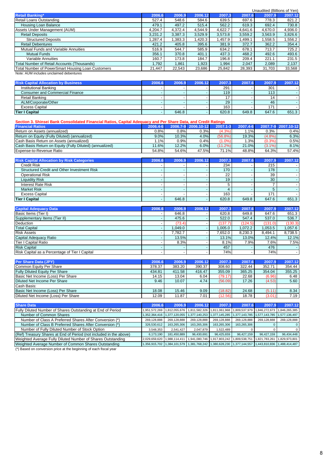|                                                                                     |         |         |         |         |         | Unaudited (Billions of Yen) |         |
|-------------------------------------------------------------------------------------|---------|---------|---------|---------|---------|-----------------------------|---------|
| <b>Retail Banking*</b>                                                              | 2006.6  | 2006.9  | 2006.12 | 2007.3  | 2007.6  | 2007.9                      | 2007.12 |
| Retail Loans Outstanding                                                            | 527.4   | 548.6   | 584.6   | 639.5   | 697.6   | 778.3                       | 821.2   |
| Housing Loan Balance                                                                | 479.1   | 497.2   | 515.4   | 562.2   | 619.3   | 692.4                       | 730.8   |
| Assets Under Management (AUM)                                                       | 4.204.7 | 4.372.4 | 4.544.9 | 4,622.7 | 4.641.6 | 4.670.0                     | 4,936.0 |
| <b>Retail Deposits</b>                                                              | 3,231.2 | 3,387.3 | 3,529.9 | 3,573.8 | 3,559.2 | 3,563.9                     | 3,826.6 |
| <b>Structured Deposits</b>                                                          | .287.4  | .383.3  | .420.3  | 1.457.9 | 1.499.1 | 1.558.5                     | 1,556.2 |
| <b>Retail Debentures</b>                                                            | 421.2   | 405.8   | 395.6   | 381.9   | 372.7   | 362.2                       | 354.4   |
| Mutual Funds and Variable Annuities                                                 | 516.9   | 544.7   | 585.9   | 634.2   | 678.1   | 713.7                       | 725.2   |
| Mutual Funds                                                                        | 356.1   | 370.8   | 401.1   | 437.3   | 468.2   | 492.6                       | 493.6   |
| Variable Annuities                                                                  | 160.7   | 173.8   | 184.7   | 196.8   | 209.4   | 221.1                       | 231.5   |
| Total Number of Retail Accounts (Thousands)                                         | 1.792   | 1.861   | 1.923   | .994    | 2.047   | 2.089                       | 2.137   |
| Total Number of PowerSmart Housing Loan Customers                                   | 21.447  | 22,543  | 23,686  | 25,842  | 28,393  | 31,703                      | 33,568  |
| All and a set All IAM the all collections and also a set of all all a sensitive and |         |         |         |         |         |                             |         |

Note: AUM includes unclaimed debentures

| <b>Risk Capital Allocation by Business</b> | 2006.6 | 2006.9 | 2006.12 | 2007.3 | 2007.6 | 2007.9 | 2007.12 |
|--------------------------------------------|--------|--------|---------|--------|--------|--------|---------|
| Institutional Banking                      |        |        |         | 291    |        | 301    |         |
| <b>Consumer and Commercial Finance</b>     |        |        |         | 119    |        | 113    |         |
| Retail Banking                             |        |        |         |        |        |        |         |
| ALM/Corporate/Other                        |        |        |         | 29     |        | 46     |         |
| Excess Capital                             |        |        |         | 163    |        | 17.    |         |
| Tier I Capital                             |        | 646.8  |         | 620.8  | 649.8  | 647.6  | 651.3   |

| <b>Financial Ratios</b>                                  | 2006.4-6 |       | 2006.7-9 2006.10-12 | 2007.1-3   | 2007.4-6 |           | 2007.7-9 2007.10-12 |
|----------------------------------------------------------|----------|-------|---------------------|------------|----------|-----------|---------------------|
| Return on Assets (annualized)                            | $0.8\%$  | 0.8%  | 0.3%                | (4.3%)     | . . 1%   | $0.3\%$   | 0.4%                |
| Return on Equity (Fully Diluted) (annualized)            | 9.0%     | 10.3% | 4.0%                | $(56.8\%)$ | 19.3%    | $(4.8\%)$ | 6.3%                |
| Cash Basis Return on Assets (annualized)                 | .1%      | 0.9%  | 0.4%                | $(1.0\%)$  | 1.3%     | $(0.3\%)$ | 0.5%                |
| Cash Basis Return on Equity (Fully Diluted) (annualized) | 11.6%    | 12.2% | 6.0%                | (11.2%)    | 21.0%    | $(3.1\%)$ | 8.1%                |
| Expense-to-Revenue Ratio                                 | 54.8%    | 54.6% | 47.5%               | 71.1%      | 48.8%    | 64.3%     | 57.4%               |

| <b>Risk Capital Allocation by Risk Categories</b>  | 2006.6 | 2006.9 | 2006.12 | 2007.3 | 2007.6 | 2007.9 | 2007.12 |
|----------------------------------------------------|--------|--------|---------|--------|--------|--------|---------|
| <b>Credit Risk</b>                                 |        |        |         | 234    |        | 215    |         |
| <b>Structured Credit and Other Investment Risk</b> |        |        |         | 170    |        | 178    |         |
| Operational Risk                                   |        |        |         | 22     |        | 39     |         |
| <b>Liquidity Risk</b>                              |        |        |         | 19     |        | 30     |         |
| <b>Interest Rate Risk</b>                          |        |        |         |        |        |        |         |
| <b>Market Risk</b>                                 |        |        |         |        |        |        |         |
| <b>Excess Capital</b>                              |        |        |         | 163    |        | 171    |         |
| <b>Tier I Capital</b>                              |        | 646.8  |         | 620.8  | 649.8  | 647.6  | 651.3   |

| <b>Capital Adequacy Data</b>                   | 2006.6 | 2006.9  | 2006.12 | 2007.3  | 2007.6  | 2007.9  | 2007.12 |
|------------------------------------------------|--------|---------|---------|---------|---------|---------|---------|
| Basic Items (Tier I)                           |        | 646.8   |         | 620.8   | 649.8   | 647.6   | 651.3   |
| Supplementary Items (Tier II)                  |        | 475.6   |         | 522.0   | 547.4   | 537.0   | 536.7   |
| <b>Deduction</b>                               |        | (73.4)  |         | (137.7) | (124.5) | (131.0) | (130.3) |
| <b>Total Capital</b>                           |        | 1.049.0 |         | 1.005.0 | 1.072.2 | 1.053.5 | 1.057.6 |
| <b>Risk Assets</b>                             |        | 7.782.7 |         | 7.652.0 | 8,230.3 | 8.494.1 | 8,738.5 |
| Capital Adequacy Ratio                         |        | 13.5%   |         | 13.1%   | 13.0%   | 12.4%   | 12.1%   |
| Tier I Capital Ratio                           |        | 8.3%    |         | 8.1%    | 7.9%    | 7.6%    | 7.5%    |
| <b>Risk Capital</b>                            |        |         |         | 457     |         | 476     |         |
| Risk Capital as a Percentage of Tier I Capital |        |         |         | 74%     |         | 74%     |         |

| <b>Per Share Data (JPY)</b>           | 2006.6 | 2006.9 | 2006.12 | 2007.3  | 2007.6 | 2007.9 | 2007.12 |
|---------------------------------------|--------|--------|---------|---------|--------|--------|---------|
| Common Equity Per Share               | 378.37 | 383.20 | 390.37  | 308.60  | 322.44 | 352.71 | 354.44  |
| <b>Fully Diluted Equity Per Share</b> | 434.81 | 411.58 | 416.47  | 355.09  | 365.25 | 354.04 | 355.25  |
| Basic Net Income (Loss) Per Share     | 14.15  | 13.04  | 6.04    | (79.17) | 22.68  | (6.96) | 6.48    |
| Diluted Net Income Per Share          | 9.46   | 10.07  | 4.74    | (56.09) | 17.26  | (4.53) | 5.60    |
| Cash Basis:                           |        |        |         |         |        |        |         |
| Basic Net Income (Loss) Per Share     | 18.08  | 15.46  | 9.09    | (18.82) | 24.68  | (5.11) | 8.34    |
| Diluted Net Income (Loss) Per Share   | 12.09  | 11.87  | 7.01    | (12.56) | 18.78  | (3.01) | 7.19    |

| <b>Share Data</b>                                                  | 2006.6                      | 2006.9                      | 2006.12                                                                                                       | 2007.3                                    | 2007.6                                                                | 2007.9        | 2007.12       |
|--------------------------------------------------------------------|-----------------------------|-----------------------------|---------------------------------------------------------------------------------------------------------------|-------------------------------------------|-----------------------------------------------------------------------|---------------|---------------|
| Fully Diluted Number of Shares Outstanding at End of Period        |                             |                             | 1,951,572,269   1,812,055,676   1,811,582,326   1,811,061,968   1,809,537,979   1,846,272,673   1,846,265,385 |                                           |                                                                       |               |               |
| Number of Common Shares                                            |                             | 1,352,364,416 1,377,120,055 |                                                                                                               |                                           | 1,377,140,253 1,377,145,285 1,377,143,785 1,577,143,785 1,577,136,497 |               |               |
| Number of Class A Preferred Shares After Conversion (*)            | 269.128.888                 | 269.128.888                 | 269,128,888                                                                                                   | 269.128.888                               | 269.128.888                                                           | 269.128.888   | 269.128.888   |
| Number of Class B Preferred Shares After Conversion (*)            | 326,530,612                 | 163.265.306                 | 163,265,306                                                                                                   | 163.265.306                               | 163,265,306                                                           |               |               |
| Number of Fully Diluted Number of Stock Option                     | 3.548.353                   | 2,541,427                   | 2.047.879                                                                                                     | 1.522.489                                 |                                                                       |               |               |
| (Ref) Treasury Shares at End of Period (not included in the above) | 6.173.190                   | 181.450.889                 | 96,430,691                                                                                                    | 96.425.659                                | 96.427.159                                                            | 96.427.159    | 96.434.448    |
| Weighted Average Fully Diluted Number of Shares Outstanding        | 2.029.659.620 1.988.114.411 |                             |                                                                                                               | 1,941,080,746 1,917,803,242 1,809,538,751 |                                                                       | 1,821,783,261 | 1.829.973.801 |
| Weighted Average Number of Common Shares Outstanding               |                             |                             | 1,356,915,702 1,384,101,579 1,381,768,242 1,380,628,230 1,377,144,557 1,443,810,836 1,488,414,487             |                                           |                                                                       |               |               |

(\*) Based on conversion price at the beginning of each fiscal year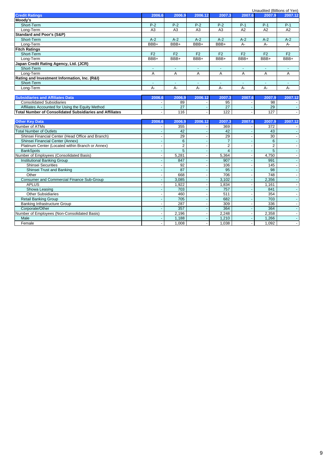|                                                          | Unaudited (Billions of Yen) |                 |                |                 |                |                  |         |  |  |
|----------------------------------------------------------|-----------------------------|-----------------|----------------|-----------------|----------------|------------------|---------|--|--|
| <b>Credit Ratings</b>                                    | 2006.6                      | 2006.9          | 2006.12        | 2007.3          | 2007.6         | 2007.9           | 2007.12 |  |  |
| Moody's                                                  |                             |                 |                |                 |                |                  |         |  |  |
| Short-Term                                               | $P-2$                       | $P-2$           | $P-2$          | $P-2$           | $P-1$          | $P-1$            | $P-1$   |  |  |
| Long-Term                                                | A <sub>3</sub>              | A <sub>3</sub>  | A <sub>3</sub> | A <sub>3</sub>  | A2             | A2               | A2      |  |  |
| <b>Standard and Poor's (S&amp;P)</b>                     |                             |                 |                |                 |                |                  |         |  |  |
| Short-Term                                               | $A-2$                       | $A-2$           | $A-2$          | $A-2$           | $A-2$          | $A-2$            | $A-2$   |  |  |
| Long-Term                                                | BBB+                        | BBB+            | BBB+           | $BBB+$          | A-             | $A -$            | A-      |  |  |
| <b>Fitch Ratings</b>                                     |                             |                 |                |                 |                |                  |         |  |  |
| Short-Term                                               | F <sub>2</sub>              | F <sub>2</sub>  | F <sub>2</sub> | F <sub>2</sub>  | F <sub>2</sub> | F <sub>2</sub>   | F2      |  |  |
| Long-Term                                                | $BBB+$                      | BBB+            | BBB+           | $BBB+$          | BBB+           | $BBB+$           | BBB+    |  |  |
| Japan Credit Rating Agency, Ltd. (JCR)                   |                             |                 |                |                 |                |                  |         |  |  |
| Short-Term                                               | $\sim$                      | $\omega$        | $\omega$       | $\sim$          | $\Delta \phi$  | $\sim$           | $\sim$  |  |  |
| Long-Term                                                | Α                           | A               | Α              | A               | Α              | Α                | A       |  |  |
| Rating and Investment Information, Inc. (R&I)            |                             |                 |                |                 |                |                  |         |  |  |
| Short-Term                                               | $\sim$                      | $\sim$          | $\sim$         | $\sim$          | $\Delta \phi$  | $\sim$           | ш.      |  |  |
| Long-Term                                                | А-                          | А-              | А-             | А-              | А-             | А-               | A-      |  |  |
|                                                          |                             |                 |                |                 |                |                  |         |  |  |
| <b>Subsidiaries and Affiliates Data</b>                  | 2006.6                      | 2006.9          | 2006.12        | 2007.3          | 2007.6         | 2007.9           | 2007.12 |  |  |
| <b>Consolidated Subsidiaries</b>                         |                             | 89              |                | 95              |                | 98               |         |  |  |
| Affiliates Accounted for Using the Equity Method         |                             | $\overline{27}$ |                | 27              |                | 29               |         |  |  |
| Total Number of Consolidated Subsidiaries and Affiliates |                             | 116             |                | 122             |                | 127              |         |  |  |
|                                                          |                             |                 |                |                 |                |                  |         |  |  |
| <b>Other Key Data</b>                                    | 2006.6                      | 2006.9          | 2006.12        | 2007.3          | 2007.6         | 2007.9           | 2007.12 |  |  |
| Number of ATMs                                           |                             | 355             |                | 369             |                | 372              |         |  |  |
| <b>Total Number of Outlets</b>                           |                             | 42              |                | 42              |                | 43               |         |  |  |
| Shinsei Financial Center (Head Office and Branch)        |                             | 29              |                | $\overline{29}$ |                | $\overline{30}$  |         |  |  |
| Shinsei Financial Center (Annex)                         |                             | $6\overline{6}$ |                | $\overline{7}$  |                | 6                |         |  |  |
| Platinum Center (Located within Branch or Annex)         |                             | $\overline{2}$  |                | $\overline{2}$  |                | $\overline{2}$   |         |  |  |
| <b>BankSpots</b>                                         |                             | $\overline{5}$  |                | $\overline{4}$  |                | $\overline{5}$   |         |  |  |
| Number of Employees (Consolidated Basis)                 |                             | 5,281           |                | 5,364           |                | 4,750            |         |  |  |
| <b>Institutional Banking Group</b>                       |                             | 847             |                | 907             |                | 991              |         |  |  |
| <b>Shinsei Securities</b>                                |                             | 92              |                | 106             |                | $\overline{145}$ |         |  |  |
| Shinsei Trust and Banking                                |                             | 87              |                | 95              |                | $\overline{98}$  |         |  |  |
| Other                                                    |                             | 668             |                | 706             |                | 748              |         |  |  |
| Consumer and Commercial Finance Sub-Group                |                             | 3,085           |                | 3,102           |                | 2,356            |         |  |  |
| <b>APLUS</b>                                             |                             | 1,922           |                | 1,834           |                | 1,161            |         |  |  |
| Showa Leasing                                            |                             | 703             |                | 757             |                | 841              |         |  |  |
| <b>Other Subsidiaries</b>                                |                             | 460             |                | 511             |                | 354              |         |  |  |
| <b>Retail Banking Group</b>                              |                             | 705             |                | 682             |                | 703              |         |  |  |
| <b>Banking Infrastructure Group</b>                      |                             | 287             | $\mathbf{r}$   | 309             | $\mathbf{r}$   | 336              |         |  |  |
| Corporate/Other                                          |                             | 357             |                | 364             |                | 364              |         |  |  |
| Number of Employees (Non-Consolidated Basis)             |                             | 2,196           |                | 2,248           |                | 2,358            |         |  |  |
| Male                                                     |                             | 1,188           | $\blacksquare$ | 1,210           | $\blacksquare$ | 1,266            |         |  |  |
| Female                                                   | $\sim$                      | 1,008           | $\mathbf{r}$   | 1,038           | $\sim$         | 1,092            |         |  |  |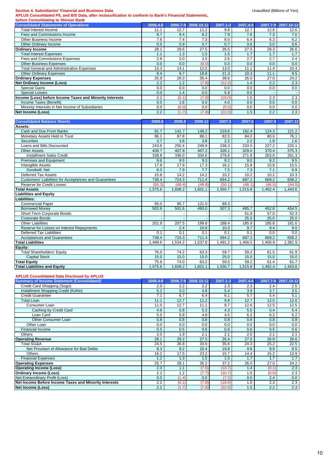#### **Section 4. Subsidiaries' Financial and Business Data Data Unaudited Constructions of Yen**) **Unaudited (Billions of Yen**)

**APLUS Consolidated P/L and B/S Data, after reclassification to conform to Bank's Financial Statements,**

| before Consolidating to Shinsei Bank                     |          |       |                     |          |          |          |            |
|----------------------------------------------------------|----------|-------|---------------------|----------|----------|----------|------------|
| <b>Consolidated Statements of Operations</b>             | 2006.4-6 |       | 2006.7-9 2006.10-12 | 2007.1-3 | 2007.4-6 | 2007.7-9 | 2007.10-12 |
| Total Interest Income                                    | 11.1     | 12.7  | 11.2                | 9.8      | 12.7     | 12.6     | 12.6       |
| Fees and Commissions Income                              | 8.7      | 8.4   | 8.2                 | 7.9      | 7.6      | 7.3      | 7.0        |
| Other Business Income                                    | 7.6      | 7.4   | 7.3                 | 8.0      | 6.4      | 6.3      | 6.2        |
| Other Ordinary Income                                    | 0.5      | 0.9   | 0.7                 | 0.7      | 0.6      | 3.0      | 0.6        |
| <b>Ordinary Income</b>                                   | 28.1     | 29.6  | 27.5                | 26.5     | 27.5     | 29.3     | 26.6       |
| <b>Total Interest Expenses</b>                           | 1.1      | 1.3   | 1.5                 | 1.5      | 1.7      | 1.7      | 1.7        |
| Fees and Commissions Expenses                            | 2.9      | 3.0   | 2.5                 | 2.6      | 2.7      | 2.7      | 2.4        |
| <b>Other Business Expenses</b>                           | 0.0      | 0.0   | (0.0)               | 0.0      | 0.0      | 0.0      | 0.0        |
| <b>Total General and Administrative Expenses</b>         | 13.3     | 14.1  | 12.5                | 13.0     | 11.1     | 11.4     | 10.4       |
| <b>Other Ordinary Expenses</b>                           | 8.4      | 9.7   | 18.8                | 21.3     | 10.3     | 11.1     | 9.5        |
| <b>Ordinary Expenses</b>                                 | 25.9     | 28.3  | 35.4                | 38.6     | 26.0     | 27.0     | 24.2       |
| <b>Net Ordinary Income (Loss)</b>                        | 2.2      | 1.2   | (7.8)               | (12.0)   | 1.4      | 2.2      | 2.3        |
| Special Gains                                            | 0.0      | 0.0   | 0.0                 | 0.0      | 0.0      | 0.0      | 0.0        |
| <b>Special Losses</b>                                    | 0.0      | 1.4   | 0.0                 | 5.9      | 0.0      |          |            |
| Income (Loss) before Income Taxes and Minority Interests | 2.2      | (0.1) | (7.8)               | (18.0)   | 1.5      | 2.3      | 2.3        |
| Income Taxes (Benefit)                                   | 0.0      | 1.6   | 0.0                 | 4.0      | 0.0      | 0.0      | 0.0        |
| Minority Interests in Net Income of Subsidiaries         | 0.0      | (0.0) | 0.0                 | (0.0)    | 0.0      | 0.0      | 0.0        |
| Net Income (Loss)                                        | 2.2      | (1.7) | (7.8)               | (22.0)   | 1.5      | 2.2      | 2.3        |

| <b>Consolidated Balance Sheets</b>                    | 2006.6  | 2006.9  | 2006.12 | 2007.3  | 2007.6  | 2007.9  | 2007.12 |
|-------------------------------------------------------|---------|---------|---------|---------|---------|---------|---------|
| Assets:                                               |         |         |         |         |         |         |         |
| Cash and Due From Banks                               | 91.7    | 141.7   | 149.2   | 219.6   | 192.4   | 124.3   | 121.2   |
| Monetary Assets Held in Trust                         | 96.1    | 87.8    | 88.1    | 82.5    | 84.0    | 80.6    | 76.1    |
| <b>Securities</b>                                     | 3.7     | 3.8     | 3.8     | 2.2     | 2.2     | 1.8     | 1.6     |
| Loans and Bills Discounted                            | 243.6   | 250.4   | 249.9   | 238.3   | 233.5   | 227.2   | 220.1   |
| <b>Other Assets</b>                                   | 408.7   | 407.8   | 407.2   | 328.1   | 329.0   | 370.4   | 375.3   |
| <b>Installment Sales Credit</b>                       | 338.8   | 336.0   | 334.6   | 276.6   | 271.8   | 263.6   | 261.3   |
| Premises and Equipment                                | 9.6     | 9.5     | 9.3     | 9.2     | 9.0     | 9.2     | 9.5     |
| <b>Intangible Assets</b>                              | 17.8    | 17.9    | 17.3    | 16.2    | 15.9    | 15.8    | 15.5    |
| Goodwill, Net                                         | 8.3     | 7.9     | 7.7     | 7.5     | 7.3     | 7.1     | 6.9     |
| <b>Deferred Tax Assets</b>                            | 15.8    | 14.2    | 14.2    | 10.2    | 10.2    | 10.2    | 10.3    |
| Customers' Liabilities for Acceptances and Guarantees | 738.4   | 724.3   | 711.4   | 694.2   | 687.2   | 669.2   | 658.2   |
| <b>Reserve for Credit Losses</b>                      | (50.3)  | (49.4)  | (49.8)  | (50.1)  | (48.1)  | (46.5)  | (44.5)  |
| <b>Total Assets</b>                                   | 1.575.6 | 1.608.2 | 1.601.1 | 1.550.7 | 1,515.8 | 1.462.4 | 1,443.6 |
| <b>Liabilities and Equity</b>                         |         |         |         |         |         |         |         |
| Liabilities:                                          |         |         |         |         |         |         |         |
| <b>Commercial Paper</b>                               | 55.0    | 95.7    | 121.0   | 89.3    |         |         |         |
| <b>Borrowed Monev</b>                                 | 502.6   | 501.6   | 493.0   | 507.3   | 485.7   | 452.8   | 454.5   |
| Short-Term Corporate Bonds                            |         |         |         |         | 61.8    | 57.0    | 52.3    |
| <b>Corporate Bonds</b>                                |         |         |         |         | 25.0    | 25.0    | 25.0    |
| <b>Other Liabilities</b>                              | 201.9   | 207.5   | 199.8   | 188.4   | 185.9   | 185.8   | 181.6   |
| Reserve for Losses on Interest Repayments             |         | 2.4     | 10.8    | 10.3    | 9.7     | 9.4     | 9.0     |
| Deferred Tax Liabilities                              | 0.1     | 0.1     | 0.1     | 0.1     | 0.1     | 0.0     | 0.0     |
| <b>Acceptances and Guarantees</b>                     | 738.4   | 724.3   | 711.4   | 694.2   | 687.2   | 669.2   | 658.2   |
| <b>Total Liabilities</b>                              | .499.6  | .534.2  | 1.537.8 | .491.2  | 1,456.5 | 1.400.9 | .381.9  |
| Equity:                                               |         |         |         |         |         |         |         |
| <b>Total Shareholders' Equity</b>                     | 76.0    | 74.2    | 63.3    | 59.7    | 59.2    | 61.5    | 61.9    |
| <b>Capital Stock</b>                                  | 15.0    | 15.0    | 15.0    | 25.0    | 15.0    | 15.0    | 15.0    |
| <b>Total Equity</b>                                   | 75.9    | 74.0    | 63.2    | 59.5    | 59.2    | 61.4    | 61.7    |
| <b>Total Liabilities and Equity</b>                   | 1.575.6 | 1,608.2 | .601.1  | .550.7  | 1,515.8 | 1,462.4 | 1,443.6 |

#### **APLUS Consolidated Data Disclosed by APLUS**

| <b>Summary of Income Statement (Consolidated)</b>     | 2006.4-6 | 2006.7-9 | 2006.10-12 | 2007.1-3 | 2007.4-6 | 2007.7-9 | 2007.10-12 |
|-------------------------------------------------------|----------|----------|------------|----------|----------|----------|------------|
| Credit Card Shopping (Sogo)                           | 2.0      | 2.2      | 2.2        | 2.3      | 2.3      | 2.4      | 2.5        |
| Installment Shopping Credit (Kohin)                   | 5.2      | 5.0      | 4.8        | 5.4      | 3.9      | 3.7      | 3.5        |
| <b>Credit Guarantee</b>                               | 7.1      | 6.7      | 6.4        | 6.1      | 5.7      | 5.4      | 5.1        |
| <b>Total Loan</b>                                     | 11.1     | 12.7     | 11.2       | 9.8      | 12.7     | 12.5     | 12.6       |
| Consumer Loan                                         | 11.0     | 12.7     | 11.1       | 9.7      | 12.6     | 12.5     | 12.5       |
| Cashing by Credit Card                                | 4.6      | 5.8      | 5.3        | 4.3      | 5.5      | 5.4      | 5.4        |
| Loan Card                                             | 5.5      | 5.9      | 4.8        | 4.5      | 6.2      | 6.2      | 6.2        |
| <b>Other Consumer Loan</b>                            | 0.8      | 0.8      | 0.8        | 0.8      | 0.8      | 0.8      | 0.8        |
| Other Loan                                            | 0.0      | 0.0      | 0.0        | 0.0      | 0.0      | 0.0      | 0.0        |
| <b>Financial Income</b>                               | 0.5      | 0.5      | 0.6        | 0.6      | 0.6      | 0.5      | 0.6        |
| Others                                                | 2.0      | .9       | 2.1        | 2.1      | 2.0      | 2.1      | 2.1        |
| <b>Operating Revenue</b>                              | 28.1     | 29.2     | 27.5       | 26.4     | 27.5     | 26.9     | 26.6       |
| Total SG&A                                            | 24.5     | 26.8     | 33.6       | 35.6     | 24.3     | 25.2     | 22.5       |
| Net Provision of Allowance for Bad Debts              | 8.3      | 9.2      | 10.4       | 19.8     | 9.8      | 9.9      | 8.5        |
| Others                                                | 16.2     | 17.5     | 23.2       | 15.7     | 14.4     | 15.2     | 13.9       |
| <b>Financial Expenses</b>                             | 1.2      | 1.3      | 1.5        | 1.5      | 1.7      | 1.7      | 1.7        |
| <b>Operating Expenses</b>                             | 25.7     | 28.1     | 35.2       | 37.2     | 26.0     | 27.0     | 24.2       |
| <b>Operating Income (Loss)</b>                        | 2.3      | 1.1      | (7.6)      | (10.7)   | 1.4      | (0.1)    | 2.3        |
| <b>Ordinary Income (Loss)</b>                         | 2.2      | 1.2      | (7.7)      | (10.7)   | 1.5      | (0.0)    | 2.3        |
| Net Extraordinary Profit (Loss)                       | 0.0      | (1.4)    | 0.0        | (7.2)    | 0.0      | 2.4      | 0.0        |
| Net Income Before Income Taxes and Minority Interests | 2.2      | (0.1)    | (7.8)      | (18.0)   | 1.5      | 2.3      | 2.3        |
| <b>Net Income (Loss)</b>                              | 2.2      | (1.7)    | (7.8)      | (22.0)   | 1.5      | 2.2      | 2.3        |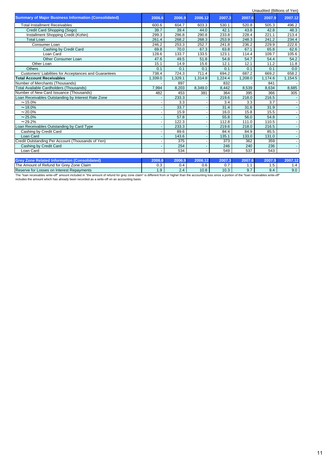|                                                             |         |         |                     |         |         | Unaudited (Billions of Yen) |         |
|-------------------------------------------------------------|---------|---------|---------------------|---------|---------|-----------------------------|---------|
| <b>Summary of Major Business Information (Consolidated)</b> | 2006.6  | 2006.9  | 2006.12             | 2007.3  | 2007.6  | 2007.9                      | 2007.12 |
| <b>Total Installment Receivables</b>                        | 600.6   | 604.7   | 603.3               | 530.1   | 520.8   | 505.3                       | 496.2   |
| Credit Card Shopping (Sogo)                                 | 39.7    | 39.4    | 44.0                | 42.1    | 43.8    | 42.8                        | 48.3    |
| Installment Shopping Credit (Kohin)                         | 299.3   | 296.8   | 290.8               | 233.8   | 228.4   | 221.1                       | 213.4   |
| <b>Total Loan</b>                                           | 261.4   | 268.2   | 268.3               | 253.9   | 248.3   | 241.2                       | 234.4   |
| Consumer Loan                                               | 246.2   | 253.3   | 252.7               | 241.8   | 236.2   | 229.9                       | 222.6   |
| Cashing by Credit Card                                      | 69.8    | 70.0    | 67.3                | 63.8    | 67.1    | 65.8                        | 62.6    |
| Loan Card                                                   | 128.6   | 133.7   | 133.5               | 123.1   | 114.4   | 109.7                       | 105.6   |
| <b>Other Consumer Loan</b>                                  | 47.6    | 49.5    | 51.8                | 54.8    | 54.7    | 54.4                        | 54.2    |
| Other Loan                                                  | 15.1    | 14.9    | 15.6                | 12.1    | 12.1    | 11.2                        | 11.8    |
| <b>Others</b>                                               | 0.1     | 0.1     | 0.1                 | 0.1     | 0.1     | 0.1                         | 0.0     |
| Customers' Liabilities for Acceptances and Guarantees       | 738.4   | 724.3   | $\overline{7}$ 11.4 | 694.2   | 687.2   | 669.2                       | 658.2   |
| <b>Total Account Receivables</b>                            | 1,339.0 | 1,329.1 | 1,314.8             | 1.224.4 | 1,208.0 | 1,174.6                     | 1.154.5 |
| Number of Merchants (Thousands)                             |         | 897     |                     | 832     |         | 841                         |         |
| <b>Total Available Cardholders (Thousands)</b>              | 7,994   | 8,203   | 8,349.0             | 8,442   | 8,539   | 8,634                       | 8,685   |
| Number of New Card Issuance (Thousands)                     | 482     | 453     | 381                 | 364     | 395     | 366                         | 305     |
| Loan Receivables Outstanding by Interest Rate Zone          |         | 233.3   |                     | 219.6   | 218.0   | 216.5                       |         |
| $~15.0\%$                                                   |         | 3.3     |                     | 3.4     | 3.3     | 3.7                         |         |
| $~18.0\%$                                                   |         | 33.7    |                     | 31.4    | 31.6    | 31.9                        |         |
| $~20.0\%$                                                   |         | 15.9    |                     | 16.0    | 15.8    | 15.5                        |         |
| $~25.0\%$                                                   |         | 57.8    |                     | 55.8    | 56.0    | 54.8                        |         |
| $~29.2\%$                                                   |         | 122.3   |                     | 112.8   | 111.0   | 110.5                       |         |
| Loan Receivables Outstanding by Card Type                   |         | 233.3   |                     | 219.6   | 218.0   | 216.5                       |         |
| Cashing by Credit Card                                      |         | 89.6    |                     | 84.4    | 84.9    | 85.5                        |         |
| Loan Card                                                   |         | 143.6   |                     | 135.1   | 133.0   | 131.0                       |         |
| Credit Outstanding Per Account (Thousands of Yen)           |         | 375     |                     | 373     | 362     | 359                         |         |
| Cashing by Credit Card                                      |         | 254     |                     | 246     | 240     | 236                         |         |
| Loan Card                                                   |         | 534     |                     | 549     | 537     | 543                         |         |
| <b>Grev Zone Related Information (Consolidated)</b>         | 2006.6  | 2006.9  | 2006.12             | 2007.3  | 2007.6  | 2007.9                      | 2007.12 |

|                                                                             |        |          |                      | . .               |   |           |      |
|-----------------------------------------------------------------------------|--------|----------|----------------------|-------------------|---|-----------|------|
| The<br>Claim<br>Zone<br>: Refund for Grev<br>≃ Amount o⊾<br>$\sim$ + $\sim$ | ◡.◡    | ى.       | $\sim$ $\sim$<br>v.o | -<br>v.           |   | -<br>. ب  |      |
| Reserve for<br>∟Interest Repavments<br>Losses on                            | $\sim$ | <u>.</u> | 10.8                 | $\sqrt{2}$<br>v.v |   | -4<br>. . | .J.U |
| ____<br>$-$<br>.                                                            | .      |          |                      |                   | . |           | $-$  |

The "loan receivables write-off" amount included in "the amount of refund for grey zone claim" is different from or higher than the accounting loss since a portion of the "loan receivables write-off"<br>includes the amount wh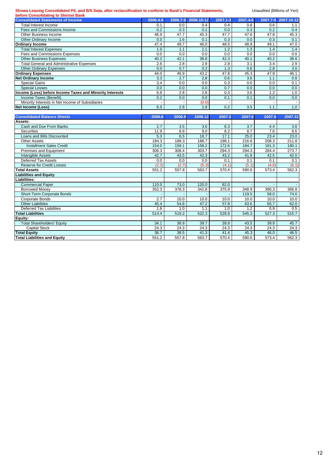#### **Showa Leasing Consolidated P/L and B/S Data, after reclassification to conform to Bank's Financial Statements,** Unaudited (Billions of Yen)

**Total Liabilities Equity:**

| before Consolidating to Shinsei Bank                     |             |                  |              |              |              |                  |              |
|----------------------------------------------------------|-------------|------------------|--------------|--------------|--------------|------------------|--------------|
| <b>Consolidated Statements of Income</b>                 | 2006.4-6    | 2006.7-9         | 2006.10-12   | $2007.1 - 3$ | 2007.4-6     | 2007.7-9         | 2007.10-12   |
| <b>Total Interest Income</b>                             | 0.1         | 0.0              | 0.4          | 0.4          | 0.8          | 0.6              | 1.1          |
| Fees and Commissions Income                              | 0.2         | 0.3              | 0.1          | 0.0          | 0.3          | 0.2              | 0.4          |
| Other Business Income                                    | 46.9        | 47.7             | 45.3         | 47.7         | 47.6         | 47.8             | 45.3         |
| Other Ordinary Income                                    | 0.0         | 1.6              | 0.1          | 0.3          | 0.0          | 0.3              | 0.1          |
| <b>Ordinary Income</b>                                   | 47.4        | 49.7             | 46.0         | 48.5         | 48.9         | 49.1             | 47.0         |
| <b>Total Interest Expenses</b>                           | 1.0         | 1.1              | 1.1          | 1.2          | 1.3          | 1.4              | 1.4          |
| <b>Fees and Commissions Expenses</b>                     | 0.0         | 0.0              | 0.0          | 0.0          | 0.0          | 0.0              | 0.0          |
| <b>Other Business Expenses</b>                           | 40.2        | 42.1             | 38.8         | 42.3         | 40.1         | 40.2             | 38.6         |
| <b>Total General and Administrative Expenses</b>         | 2.6         | 2.8              | 2.8          | 2.8          | 3.1          | 3.4              | 2.9          |
| <b>Other Ordinary Expenses</b>                           | 0.0         | 0.7              | 0.2          | 1.3          | 0.6          | 2.8              | 3.0          |
| <b>Ordinary Expenses</b>                                 | 44.0        | 46.9             | 43.2         | 47.8         | 45.3         | 47.9             | 46.1         |
| <b>Net Ordinary Income</b>                               | 3.3         | 2.7              | 2.8          | 0.6          | 3.6          | 1.1              | 0.8          |
| <b>Special Gains</b>                                     | 3.4         | 0.0              | 0.0          | 0.3          | 0.0          | 0.0              | 0.1          |
| <b>Special Losses</b>                                    | 0.0         | 0.0              | 0.0          | 0.7          | 0.0          | 0.0              | 0.0          |
| Income (Loss) before Income Taxes and Minority Interests | 6.8         | $\overline{2.8}$ | 2.8          | 0.3          | 3.6          | $\overline{1.2}$ | 1.0          |
| Income Taxes (Benefit)                                   | 0.2         | 0.0              | 0.0          | 0.1          | 0.1          | 0.0              | 0.0          |
| Minority Interests in Net Income of Subsidiaries         |             |                  | (0.0)        |              |              |                  |              |
| <b>Net Income (Loss)</b>                                 | 6.5         | 2.8              | 2.8          | 0.2          | 3.5          | 1.1              | 1.0          |
|                                                          |             |                  |              |              |              |                  |              |
| <b>Consolidated Balance Sheets</b>                       | 2006.6      | 2006.9           | 2006.12      | 2007.3       | 2007.6       | 2007.9           | 2007.12      |
| Assets:                                                  |             |                  |              |              |              |                  |              |
| Cash and Due From Banks                                  | 2.7         | 3.5              | 3.6          | 8.3          | 3.7          | 4.4              | 3.6          |
| Securities                                               | 11.9        | 8.9              | 9.0          | 8.2          | 8.7          |                  |              |
| Loans and Bills Discounted                               |             |                  |              |              |              | 7.6              | 6.6          |
|                                                          | 5.3         | 6.5              | 18.7         | 17.1         | 25.0         | 23.4             | 23.0         |
| <b>Other Assets</b>                                      | 184.3       | 189.3            | 186.7        | 198.1        | 216.6        | 208.3            | 211.8        |
| <b>Installment Sales Credit</b>                          | 154.0       | 159.1            | 158.2        | 172.6        | 184.7        | 181.3            | 180.1        |
| Premises and Equipment                                   | 306.3       | 308.4            | 303.7        | 294.3        | 294.3        | 284.4            | 273.7        |
| <b>Intangible Assets</b>                                 | 42.7        | 43.5             | 42.3         | 43.2         | 41.8         | 42.5             | 42.0         |
| <b>Deferred Tax Assets</b>                               | 0.0         | 0.0              | 0.0          | 0.1          | 0.1          | 0.1              | 0.1          |
| Reserve for Credit Losses                                | (2.3)       | (2.7)            | (5.3)        | (4.1)        | (5.1)        | (4.8)            | (6.1)        |
| <b>Total Assets</b>                                      | 551.2       | 557.8            | 563.7        | 570.4        | 590.6        | 573.4            | 562.3        |
| <b>Liabilities and Equity</b>                            |             |                  |              |              |              |                  |              |
| Liabilities:                                             |             |                  |              |              |              |                  |              |
| <b>Commercial Paper</b>                                  | 110.0       | 73.0             | 120.0        | 82.0         |              |                  |              |
| <b>Borrowed Money</b>                                    | 352.3       | 378.3            | 341.8        | 375.9        | 348.9        | 390.3            | 366.8        |
| Short-Term Corporate Bonds                               |             |                  |              |              | 119.5        | 58.0             | 74.0         |
| Corporate Bonds<br><b>Other Liabilities</b>              | 2.7<br>45.4 | 10.0<br>54.8     | 10.0<br>47.2 | 10.0<br>57.8 | 10.0<br>63.6 | 10.0<br>65.7     | 10.0<br>62.0 |

Other Liabilities 45.4 54.8 47.2 57.8 63.6 65.7 62.0<br>Deferred Tax Liabilities 1.8 1.0 1.1 1.0 1.2 0.9 0.5 01.8 1.1 1.0 1.1 1.0 1.2 0.9 0.5 1.8 1.1 1.1 1.0 1.2 0.9 0.5 1.1 1.1 1.0 1.2 0.9 0.5 1.1 1.1 1.0 1.2 0.9 0.5 1.573

Total Shareholders' Equity 34.1 36.9 39.7 39.9 43.5 39.9 45.7 Capital Stock 24.3 24.3 24.3 24.3 24.3 24.3 24.3 **Total Equity** 36.7 38.5 41.3 41.4 45.3 46.0 46.5

**Total Equity**<br> **Total Liabilities and Equity**<br> **Total Liabilities and Equity**<br> **Total Liabilities and Equity**<br> **S51.2** 557.8 563.7 570.4 590.6 573.4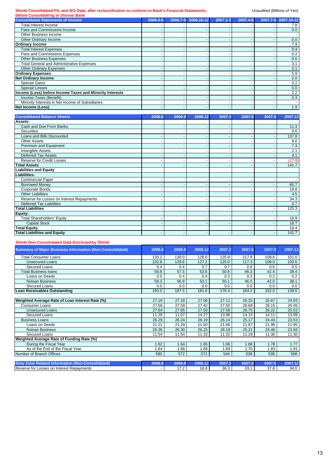**Shinki Consolidated P/L and B/S Data, after reclassification to conform to Bank's Financial Statements, School Statements of Yen)** 

| before Consolidating to Shinsei Bank                     |          |                          |                     |                          |          |          |            |
|----------------------------------------------------------|----------|--------------------------|---------------------|--------------------------|----------|----------|------------|
| <b>Consolidated Statements of Income</b>                 | 2006.4-6 |                          | 2006.7-9 2006.10-12 | 2007.1-3                 | 2007.4-6 | 2007.7-9 | 2007.10-12 |
| Total Interest Income                                    |          |                          |                     |                          |          |          | 7.8        |
| Fees and Commissions Income                              |          | -                        |                     | $\overline{\phantom{0}}$ |          |          | 0.0        |
| Other Business Income                                    |          |                          |                     |                          |          |          |            |
| Other Ordinary Income                                    |          |                          |                     | ۰                        |          |          | 0.0        |
| <b>Ordinary Income</b>                                   |          |                          |                     |                          |          |          | 7.9        |
| <b>Total Interest Expenses</b>                           |          |                          |                     |                          |          |          | 0.4        |
| Fees and Commissions Expenses                            |          |                          |                     |                          |          |          | 0.2        |
| <b>Other Business Expenses</b>                           |          |                          |                     |                          |          |          | 0.0        |
| <b>Total General and Administrative Expenses</b>         |          |                          |                     |                          |          |          | 3.1        |
| <b>Other Ordinary Expenses</b>                           |          |                          |                     | ۰                        |          |          | 2.1        |
| <b>Ordinary Expenses</b>                                 |          | -                        |                     | ۰                        |          |          | 5.9        |
| <b>Net Ordinary Income</b>                               |          | $\overline{\phantom{a}}$ |                     | $\overline{\phantom{0}}$ |          |          | 2.0        |
| <b>Special Gains</b>                                     |          |                          |                     |                          |          |          | 0.2        |
| <b>Special Losses</b>                                    |          | $\overline{\phantom{a}}$ |                     | ۰                        |          |          | 0.0        |
| Income (Loss) before Income Taxes and Minority Interests | ٠        |                          |                     |                          |          |          | 2.2        |
| Income Taxes (Benefit)                                   |          | -                        |                     |                          |          |          | 0.3        |
| Minority Interests in Net Income of Subsidiaries         |          | -                        |                     |                          |          |          |            |
| Net Income (Loss)                                        |          |                          |                     |                          |          |          | 1.9        |

| <b>Consolidated Balance Sheets</b>        | 2006.6                   | 2006.9                   | 2006.12 | 2007.3   | 2007.6 | 2007.9 | 2007.12 |
|-------------------------------------------|--------------------------|--------------------------|---------|----------|--------|--------|---------|
| Assets:                                   |                          |                          |         |          |        |        |         |
| Cash and Due From Banks                   |                          | ٠                        |         | ٠        |        | ٠      | 11.3    |
| <b>Securities</b>                         |                          |                          |         | <b>-</b> |        |        | 0.6     |
| Loans and Bills Discounted                |                          | ٠                        |         | ٠        | ٠      | ۰      | 137.8   |
| <b>Other Assets</b>                       |                          |                          |         | ٠        | ٠      |        | 6.0     |
| Premises and Equipment                    | ٠                        | ٠                        |         | ٠        | ٠      | ۰      | 7.3     |
| Intangible Assets                         | ۰                        | ۰                        |         | ٠        | ٠      | ۰      | 2.1     |
| Deferred Tax Assets                       |                          |                          |         | <b>1</b> | ۰      |        | 4.1     |
| <b>Reserve for Credit Losses</b>          |                          |                          |         |          |        |        | (27.8)  |
| <b>Total Assets</b>                       |                          |                          |         |          |        |        | 141.7   |
| <b>Liabilities and Equity</b>             |                          |                          |         |          |        |        |         |
| <b>Liabilities:</b>                       |                          |                          |         |          |        |        |         |
| <b>Commercial Paper</b>                   |                          |                          |         | ٠        |        |        |         |
| <b>Borrowed Money</b>                     |                          |                          |         |          |        |        | 65.7    |
| Corporate Bonds                           |                          |                          |         | -        |        |        | 19.8    |
| <b>Other Liabilities</b>                  |                          |                          |         | <b>1</b> | ۰      |        | 4.5     |
| Reserve for Losses on Interest Repayments |                          |                          |         |          |        |        | 34.3    |
| <b>Deferred Tax Liabilities</b>           |                          |                          |         |          |        |        | 0.7     |
| <b>Total Liabilities</b>                  |                          |                          |         |          |        |        | 125.3   |
| Equity:                                   |                          |                          |         |          |        |        |         |
| <b>Total Shareholders' Equity</b>         |                          |                          |         |          |        |        | 16.9    |
| <b>Capital Stock</b>                      |                          |                          |         |          | ۰      |        | 16.7    |
| <b>Total Equity</b>                       | ۰                        | ٠                        |         | ٠        | ٠      |        | 16.4    |
| <b>Total Liabilities and Equity</b>       | $\overline{\phantom{0}}$ | $\overline{\phantom{a}}$ |         |          | ٠      | ٠      | 141.7   |

#### **Shinki Non-Consolidated Data Disclosed by Shinki**

| <b>Summary of Major Business Information (Non-Consolidated)</b> | 2006.6 | 2006.9 | 2006.12 | 2007.3 | 2007.6 | 2007.9 | 2007.12 |
|-----------------------------------------------------------------|--------|--------|---------|--------|--------|--------|---------|
| <b>Total Consumer Loans</b>                                     | 133.2  | 130.0  | 128.0   | 125.8  | 117.9  | 109.6  | 101.0   |
| <b>Unsecured Loans</b>                                          | 132.8  | 129.6  | 127.2   | 125.0  | 117.3  | 109.0  | 100.5   |
| Secured Loans                                                   | 0.4    | 0.4    | 0.7     | 0.7    | 0.6    | 0.6    | 0.5     |
| <b>Total Business loans</b>                                     | 59.8   | 57.5   | 53.6    | 50.6   | 46.3   | 42.4   | 38.4    |
| Loans on Deeds                                                  | 0.5    | 0.4    | 0.4     | 0.3    | 0.3    | 0.2    | 0.2     |
| <b>Noloan Business</b>                                          | 59.3   | 56.9   | 53.1    | 50.1   | 46.0   | 42.0   | 38.1    |
| Secured Loans                                                   | 0.0    | 0.0    | 0.0     | 0.0    | 0.0    | 0.0    | 0.0     |
| Loan Receivables Outstanding                                    | 193.0  | 187.5  | 181.6   | 176.4  | 164.2  | 152.0  | 139.5   |
|                                                                 |        |        |         |        |        |        |         |
| Weighted Average Rate of Loan Interest Rate (%)                 | 27.18  | 27.18  | 27.06   | 27.11  | 26.25  | 25.67  | 24.93   |
| <b>Consumer Loans</b>                                           | 27.58  | 27.59  | 27.42   | 27.50  | 26.68  | 26.15  | 25.46   |
| <b>Unsecured Loans</b>                                          | 27.64  | 27.65  | 27.50   | 27.58  | 26.75  | 26.22  | 25.53   |
| Secured Loans                                                   | 11.28  | 11.07  | 14.27   | 13.96  | 14.15  | 14.11  | 13.99   |
| <b>Business Loans</b>                                           | 26.29  | 26.24  | 26.19   | 26.14  | 25.17  | 24.43  | 23.53   |
| Loans on Deeds                                                  | 21.22  | 21.29  | 21.50   | 21.66  | 21.87  | 21.96  | 21.95   |
| <b>Noloan Business</b>                                          | 26.36  | 26.30  | 26.25   | 26.19  | 25.21  | 24.46  | 23.56   |
| Secured Loans                                                   | 11.54  | 11.54  | 11.33   | 11.32  | 11.29  | 11.30  | 11.30   |
| Weighted Average Rate of Funding Rate (%)                       |        |        |         |        |        |        |         |
| During the Fiscal Year                                          | 1.62   | 1.64   | 1.65    | 1.66   | 1.68   | 1.78   | 1.77    |
| As of the End of the Fiscal Year                                | 1.64   | 1.68   | 1.68    | 1.69   | 1.70   | 1.93   | 1.91    |
| Number of Branch Offices                                        | 580    | 572    | 572     | 544    | 539    | 538    | 508     |
|                                                                 |        |        |         |        |        |        |         |
| <b>Grey Zone Related Information (Non-Consolidated)</b>         | 2006.6 | 2006.9 | 2006.12 | 2007.3 | 2007.6 | 2007.9 | 2007.12 |
| Reserve for Losses on Interest Repayments                       |        | 17.2   | 18.8    | 36.3   | 33.1   | 37.8   | 34.0    |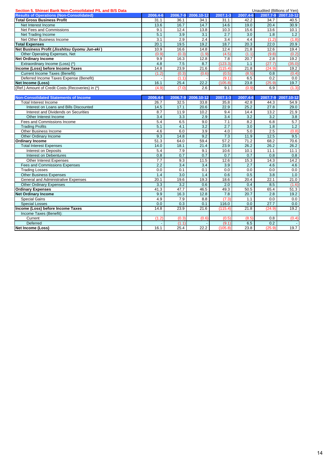| Section 5, Shinsei Bank Non-Consolidated P/L and B/S Data<br>Unaudited (Billions of Yen) |          |          |            |                  |                  |                  |                     |
|------------------------------------------------------------------------------------------|----------|----------|------------|------------------|------------------|------------------|---------------------|
| <b>Results of Operations (Non-Consolidated)</b>                                          | 2006.4-6 | 2006.7-9 | 2006.10-12 | 2007.1-3         | 2007.4-6         |                  | 2007.7-9 2007.10-12 |
| <b>Total Gross Business Profit</b>                                                       | 31.1     | 36.1     | 34.1       | 31.1             | 42.2             | 34.7             | 40.5                |
| Net Interest Income                                                                      | 13.6     | 16.7     | 14.7       | 14.6             | 19.0             | 20.4             | 30.9                |
| Net Fees and Commissions                                                                 | 9.1      | 12.4     | 13.8       | 10.3             | 15.6             | 13.6             | 10.1                |
| Net Trading Income                                                                       | 5.1      | 3.9      | 3.1        | 2.7              | 3.0              | 1.8              | 1.2                 |
| Net Other Business Income                                                                | 3.1      | 2.9      | 2.4        | $\overline{3.4}$ | 4.4              | (1.2)            | (1.8)               |
| <b>Total Expenses</b>                                                                    | 20.1     | 19.5     | 19.2       | 18.7             | 20.3             | 22.0             | 20.9                |
| Net Business Profit (Jisshitsu Gyomu Jun-eki)                                            | 10.9     | 16.6     | 14.8       | 12.4             | 21.8             | 12.6             | 19.4                |
| Other Operating Expenses, Net                                                            | (0.9)    | (0.3)    | (1.9)      | (4.5)            | (1.1)            | (9.8)            | (0.2)               |
| <b>Net Ordinary Income</b>                                                               | 9.9      | 16.3     | 12.8       | 7.8              | 20.7             | 2.8              | 19.2                |
| Extraordinary Income (Loss) (*)                                                          | 4.8      | 7.5      | 8.7        | (123.3)          | 1.1              | (27.7)           | (35.0)              |
| Income (Loss) before Income Taxes                                                        | 14.8     | 23.9     | 21.6       | (115.4)          | 21.8             | (24.9)           | 19.2                |
| <b>Current Income Taxes (Benefit)</b>                                                    | (1.2)    | (0.3)    | (0.6)      | (0.5)            | (8.5)            | 0.8              | (0.4)               |
| Deferred Income Taxes Expense (Benefit)                                                  |          | (1.1)    |            | (9.1)            | 6.5              | 0.2              | 0.0                 |
| <b>Net Income (Loss)</b>                                                                 | 16.1     | 25.4     | 22.2       | (105.8)          | 23.8             | (25.9)           | 19.7                |
| (Ref.) Amount of Credit Costs (Recoveries) in (*)                                        | (4.9)    | (7.0)    | 2.6        | 9.1              | (0.9)            | 6.9              | (1.3)               |
|                                                                                          |          |          |            |                  |                  |                  |                     |
| <b>Non-Consolidated Statements of Income</b>                                             | 2006.4-6 | 2006.7-9 | 2006.10-12 | 2007.1-3         | 2007.4-6         | 2007.7-9         | 2007.10-12          |
| Total Interest Income                                                                    | 26.7     | 32.5     | 33.8       | 35.8             | 42.8             | 44.3             | 54.9                |
| Interest on Loans and Bills Discounted                                                   | 14.5     | 17.1     | 20.6       | 22.9             | 25.2             | 27.8             | 29.0                |
| Interest and Dividends on Securities                                                     | 8.7      | 11.9     | 10.2       | 9.4              | 14.4             | 13.2             | 21.9                |
| Other Interest Income                                                                    | 3.4      | 3.3      | 2.9        | 3.4              | $\overline{3.2}$ | $\overline{3.2}$ | $\overline{3.8}$    |
| Fees and Commissions Income                                                              | 5.4      | 6.5      | 9.0        | 7.1              | 8.2              | 6.8              | 5.7                 |
| <b>Trading Profits</b>                                                                   | 5.1      | 4.1      | 3.2        | 2.7              | 3.0              | 1.8              | 1.2                 |
| Other Business Income                                                                    | 4.6      | 6.0      | 3.9        | 4.0              | 5.0              | $\overline{2.5}$ | (0.8)               |
| Other Ordinary Income                                                                    | 9.3      | 14.8     | 9.2        | 7.3              | 11.9             | 12.5             | 9.5                 |
| <b>Ordinary Income</b>                                                                   | 51.3     | 64.0     | 59.4       | 57.2             | 71.2             | 68.2             | 70.6                |
| <b>Total Interest Expenses</b>                                                           | 14.0     | 18.1     | 21.4       | 23.9             | 26.2             | 26.2             | 26.2                |
| <b>Interest on Deposits</b>                                                              | 5.4      | 7.9      | 9.1        | 10.6             | 10.1             | 11.1             | 11.1                |
| <b>Interest on Debentures</b>                                                            | 0.8      | 0.7      | 0.7        | 0.7              | 0.7              | 0.8              | 0.8                 |
| <b>Other Interest Expenses</b>                                                           | 7.7      | 9.3      | 11.5       | 12.6             | 15.3             | 14.3             | 14.2                |
| Fees and Commissions Expenses                                                            | 2.2      | 3.4      | 3.4        | 3.9              | 2.7              | 4.6              | 4.6                 |
| <b>Trading Losses</b>                                                                    | 0.0      | 0.1      | 0.1        | 0.0              | 0.0              | 0.0              | 0.0                 |
| <b>Other Business Expenses</b>                                                           | 1.4      | 3.0      | 1.4        | 0.6              | 0.5              | 3.8              | 1.0                 |
| General and Administrative Expenses                                                      | 20.1     | 19.6     | 19.3       | 18.6             | 20.4             | 22.1             | 21.0                |
| <b>Other Ordinary Expenses</b>                                                           | 3.3      | 3.2      | 0.6        | 2.0              | 0.4              | 8.5              | (1.6)               |
| <b>Ordinary Expenses</b>                                                                 | 41.3     | 47.7     | 46.5       | 49.3             | 50.5             | 65.4             | 51.3                |
| <b>Net Ordinary Income</b>                                                               | 9.9      | 16.3     | 12.8       | 7.8              | 20.7             | 2.8              | 19.2                |
| <b>Special Gains</b>                                                                     | 4.9      | 7.9      | 8.8        | (7.3)            | 1.1              | 0.0              | 0.0                 |
| <b>Special Losses</b>                                                                    | 0.0      | 0.3      | 0.1        | 116.0            | 0.0              | 27.7             | 0.0                 |
| Income (Loss) before Income Taxes                                                        | 14.8     | 23.9     | 21.6       | (115.4)          | 21.8             | (24.9)           | 19.2                |
| Income Taxes (Benefit):                                                                  |          |          |            |                  |                  |                  |                     |
| Current                                                                                  | (1.2)    | (0.3)    | (0.6)      | (0.5)            | (8.5)            | 0.8              | (0.4)               |
| Deferred                                                                                 |          | (1.1)    |            | (9.1)            | 6.5              | 0.2              |                     |
| <b>Net Income (Loss)</b>                                                                 | 16.1     | 25.4     | 22.2       | (105.8)          | 23.8             | (25.9)           | 19.7                |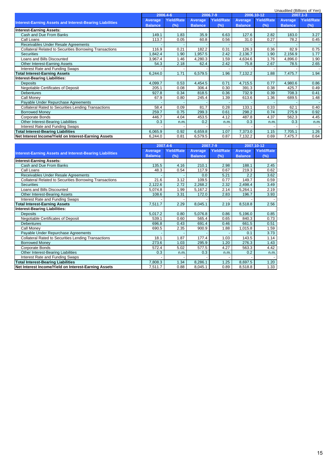|                                                                 |                |                   |                |                   |                |                   |                | Unaudited (Billions of Yen) |
|-----------------------------------------------------------------|----------------|-------------------|----------------|-------------------|----------------|-------------------|----------------|-----------------------------|
|                                                                 |                | 2006.4-6          |                | 2006.7-9          |                | 2006.10-12        |                | 2007.1-3                    |
|                                                                 | Average        | <b>Yield/Rate</b> | Average        | <b>Yield/Rate</b> | Average        | <b>Yield/Rate</b> | Average        | <b>Yield/Rate</b>           |
| <b>Interest-Earning Assets and Interest-Bearing Liabilities</b> | <b>Balance</b> | (%)               | <b>Balance</b> | (%)               | <b>Balance</b> | (%)               | <b>Balance</b> | $(\%)$                      |
| <b>Interest-Earning Assets:</b>                                 |                |                   |                |                   |                |                   |                |                             |
| Cash and Due From Banks                                         | 149.1          | 1.83              | 35.9           | 6.63              | 127.6          | 2.82              | 183.0          | 3.27                        |
| Call Loans                                                      | 113.7          | 0.05              | 60.8           | 0.56              | 31.0           | 0.27              | 78.2           | 0.45                        |
| Receivables Under Resale Agreements                             |                |                   |                |                   |                |                   |                |                             |
| <b>Collateral Related to Securities Borrowing Transactions</b>  | 116.9          | 0.21              | 182.2          | 0.31              | 126.3          | 0.36              | 82.9           | 0.75                        |
| <b>Securities</b>                                               | ,842.4         | 1.90              | 1,957.5        | 2.42              | 2,136.7        | 1.90              | 2,156.9        | 1.77                        |
| Loans and Bills Discounted                                      | 3,967.4        | 1.46              | 4,280.3        | 1.59              | 4,634.6        | 1.76              | 4,896.0        | 1.90                        |
| Other Interest-Earning Assets                                   | 54.3           | 2.18              | 62.4           | 2.42              | 75.8           | 2.67              | 78.5           | 2.65                        |
| Interest Rate and Funding Swaps                                 |                |                   |                |                   |                |                   |                |                             |
| <b>Total Interest-Earning Assets</b>                            | 6,244.0        | 1.71              | 6,579.5        | 1.96              | 7,132.2        | 1.88              | 7,475.7        | 1.94                        |
| <b>Interest-Bearing Liabilities:</b>                            |                |                   |                |                   |                |                   |                |                             |
| <b>Deposits</b>                                                 | 4,099.7        | 0.53              | 4,454.5        | 0.71              | 4,715.5        | 0.77              | 4,980.6        | 0.86                        |
| Negotiable Certificates of Deposit                              | 205.1          | 0.08              | 306.4          | 0.30              | 391.3          | 0.38              | 425.7          | 0.49                        |
| <b>Debentures</b>                                               | 927.8          | 0.34              | 818.5          | 0.36              | 732.9          | 0.39              | 708.3          | 0.41                        |
| Call Money                                                      | 67.9           | 0.80              | 245.4          | 1.39              | 613.6          | 1.36              | 689.5          | 1.48                        |
| Payable Under Repurchase Agreements                             |                |                   |                |                   |                |                   |                | $\sim$                      |
| <b>Collateral Rated to Securities Lending Transactions</b>      | 58.4           | 0.09              | 81.7           | 0.28              | 133.1          | 0.33              | 62.1           | 0.40                        |
| <b>Borrowed Money</b>                                           | 259.7          | 0.75              | 299.3          | 0.61              | 298.2          | 0.74              | 275.9          | 0.92                        |
| Corporate Bonds                                                 | 446.7          | 4.04              | 453.5          | 4.12              | 487.8          | 4.37              | 562.3          | 4.45                        |
| Other Interest-Bearing Liabilities                              | 0.3            | n.m.              | 0.2            | n.m.              | 0.3            | n.m.              | 0.3            | n.m.                        |
| Interest Rate and Funding Swaps                                 |                |                   |                |                   |                |                   |                |                             |
| <b>Total Interest-Bearing Liabilities</b>                       | 6,065.9        | 0.92              | 6,659.8        | 1.07              | 7,373.0        | 1.15              | 7,705.1        | 1.26                        |
| Net Interest Income/Yield on Interest-Earning Assets            | 6,244.0        | 0.81              | 6,579.5        | 0.87              | 7,132.2        | 0.69              | 7,475.7        | 0.64                        |

|                                                                 |                | 2007.4-6          |                | 2007.7-9          |                | 2007.10-12        |
|-----------------------------------------------------------------|----------------|-------------------|----------------|-------------------|----------------|-------------------|
| <b>Interest-Earning Assets and Interest-Bearing Liabilities</b> | Average        | <b>Yield/Rate</b> | Average        | <b>Yield/Rate</b> | Average        | <b>Yield/Rate</b> |
|                                                                 | <b>Balance</b> | (%)               | <b>Balance</b> | (%)               | <b>Balance</b> | (%)               |
| <b>Interest-Earning Assets:</b>                                 |                |                   |                |                   |                |                   |
| Cash and Due From Banks                                         | 135.5          | 4.16              | 210.1          | 2.98              | 188.1          | 2.45              |
| Call Loans                                                      | 48.3           | 0.54              | 117.9          | 0.67              | 219.3          | 0.62              |
| Receivables Under Resale Agreements                             |                |                   | 0.0            | 5.21              | 2.2            | 3.62              |
| <b>Collateral Related to Securities Borrowing Transactions</b>  | 21.6           | 3.12              | 109.5          | 0.77              | 149.7          | 0.59              |
| <b>Securities</b>                                               | 2,122.6        | 2.72              | 2,268.2        | 2.32              | 2,498.4        | 3.49              |
| Loans and Bills Discounted                                      | 5,074.8        | 1.99              | 5,167.2        | 2.14              | 5,264.1        | 2.19              |
| Other Interest-Bearing Assets                                   | 108.6          | 3.31              | 172.0          | 2.83              | 196.7          | 3.93              |
| Interest Rate and Funding Swaps                                 |                |                   |                |                   |                |                   |
| <b>Total Interest-Earning Assets</b>                            | 7,511.7        | 2.29              | 8,045.1        | 2.19              | 8,518.8        | 2.56              |
| <b>Interest-Bearing Liabilities:</b>                            |                |                   |                |                   |                |                   |
| <b>Deposits</b>                                                 | 5,017.2        | 0.80              | 5,076.8        | 0.86              | 5,196.0        | 0.85              |
| Negotiable Certificates of Deposit                              | 539.1          | 0.60              | 565.4          | 0.65              | 840.3          | 0.73              |
| <b>Debentures</b>                                               | 696.8          | 0.43              | 691.4          | 0.46              | 661.5          | 0.51              |
| Call Money                                                      | 690.5          | 2.35              | 900.9          | 1.88              | 1,015.8        | 1.59              |
| Payable Under Repurchase Agreements                             |                |                   |                |                   | 0.1            | 3.73              |
| <b>Collateral Rated to Securities Lending Transactions</b>      | 18.1           | 1.87              | 177.4          | 1.03              | 143.5          | 1.14              |
| <b>Borrowed Money</b>                                           | 273.6          | 1.03              | 295.9          | 1.20              | 276.3          | 1.43              |
| Corporate Bonds                                                 | 572.4          | 5.02              | 577.5          | 4.27              | 563.3          | 4.42              |
| Other Interest-Bearing Liabilities                              | 0.3            | n.m.              | 0.3            | n.m.              | 0.2            | n.m.              |
| Interest Rate and Funding Swaps                                 |                |                   |                |                   |                |                   |
| <b>Total Interest-Bearing Liabilities</b>                       | 7,808.3        | 1.34              | 8,286.1        | 1.25              | 8,697.5        | 1.20              |
| Net Interest Income/Yield on Interest-Earning Assets            | 7,511.7        | 0.88              | 8,045.1        | 0.89              | 8,518.8        | 1.33              |